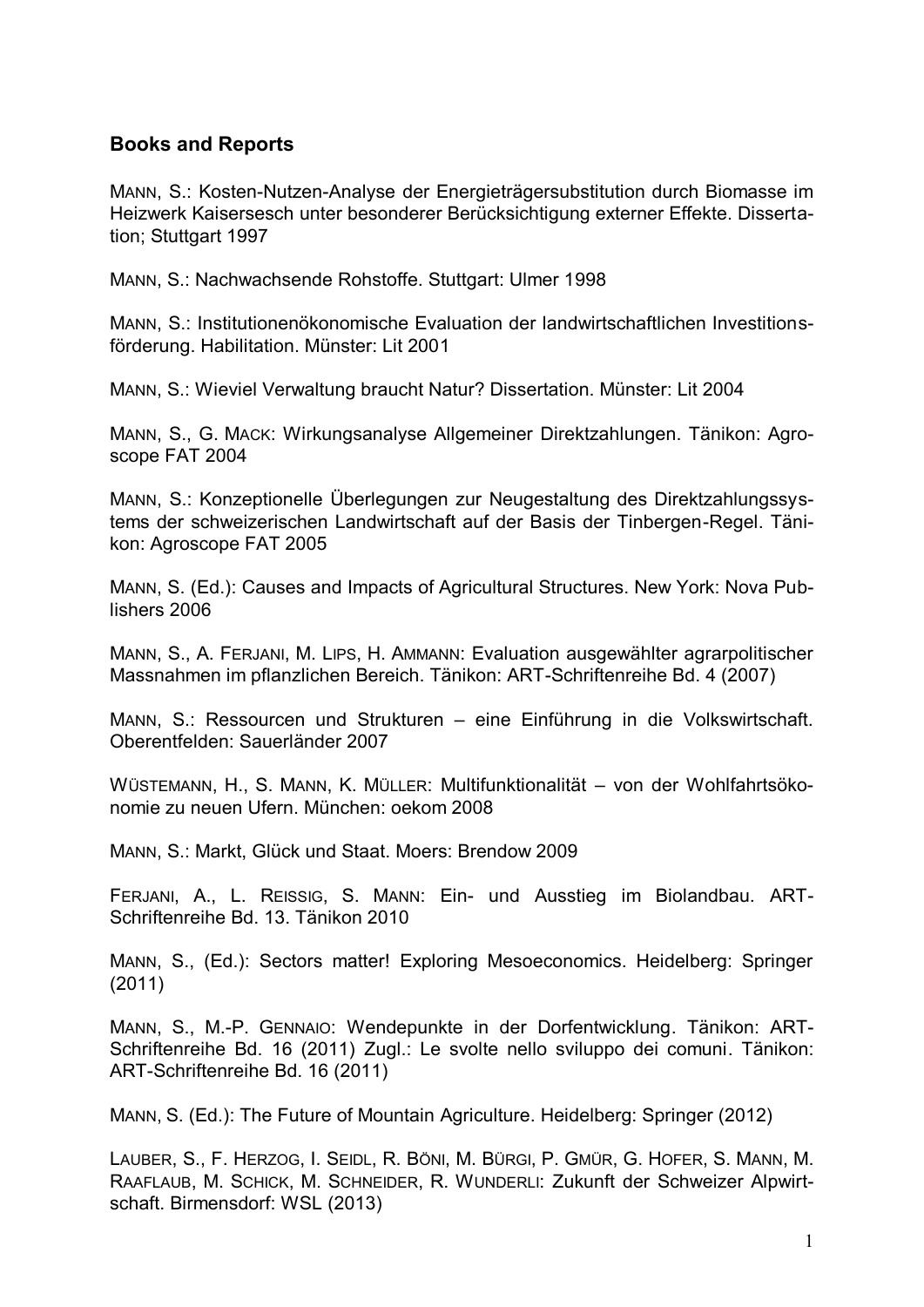## **Books and Reports**

MANN, S.: Kosten-Nutzen-Analyse der Energieträgersubstitution durch Biomasse im Heizwerk Kaisersesch unter besonderer Berücksichtigung externer Effekte. Dissertation; Stuttgart 1997

MANN, S.: Nachwachsende Rohstoffe. Stuttgart: Ulmer 1998

MANN, S.: Institutionenökonomische Evaluation der landwirtschaftlichen Investitionsförderung. Habilitation. Münster: Lit 2001

MANN, S.: Wieviel Verwaltung braucht Natur? Dissertation. Münster: Lit 2004

MANN, S., G. MACK: Wirkungsanalyse Allgemeiner Direktzahlungen. Tänikon: Agroscope FAT 2004

MANN, S.: Konzeptionelle Überlegungen zur Neugestaltung des Direktzahlungssystems der schweizerischen Landwirtschaft auf der Basis der Tinbergen-Regel. Tänikon: Agroscope FAT 2005

MANN, S. (Ed.): Causes and Impacts of Agricultural Structures. New York: Nova Publishers 2006

MANN, S., A. FERJANI, M. LIPS, H. AMMANN: Evaluation ausgewählter agrarpolitischer Massnahmen im pflanzlichen Bereich. Tänikon: ART-Schriftenreihe Bd. 4 (2007)

MANN, S.: Ressourcen und Strukturen – eine Einführung in die Volkswirtschaft. Oberentfelden: Sauerländer 2007

WÜSTEMANN, H., S. MANN, K. MÜLLER: Multifunktionalität – von der Wohlfahrtsökonomie zu neuen Ufern. München: oekom 2008

MANN, S.: Markt, Glück und Staat. Moers: Brendow 2009

FERJANI, A., L. REISSIG, S. MANN: Ein- und Ausstieg im Biolandbau. ART-Schriftenreihe Bd. 13. Tänikon 2010

MANN, S., (Ed.): Sectors matter! Exploring Mesoeconomics. Heidelberg: Springer (2011)

MANN, S., M.-P. GENNAIO: Wendepunkte in der Dorfentwicklung. Tänikon: ART-Schriftenreihe Bd. 16 (2011) Zugl.: Le svolte nello sviluppo dei comuni. Tänikon: ART-Schriftenreihe Bd. 16 (2011)

MANN, S. (Ed.): The Future of Mountain Agriculture. Heidelberg: Springer (2012)

LAUBER, S., F. HERZOG, I. SEIDL, R. BÖNI, M. BÜRGI, P. GMÜR, G. HOFER, S. MANN, M. RAAFLAUB, M. SCHICK, M. SCHNEIDER, R. WUNDERLI: Zukunft der Schweizer Alpwirtschaft. Birmensdorf: WSL (2013)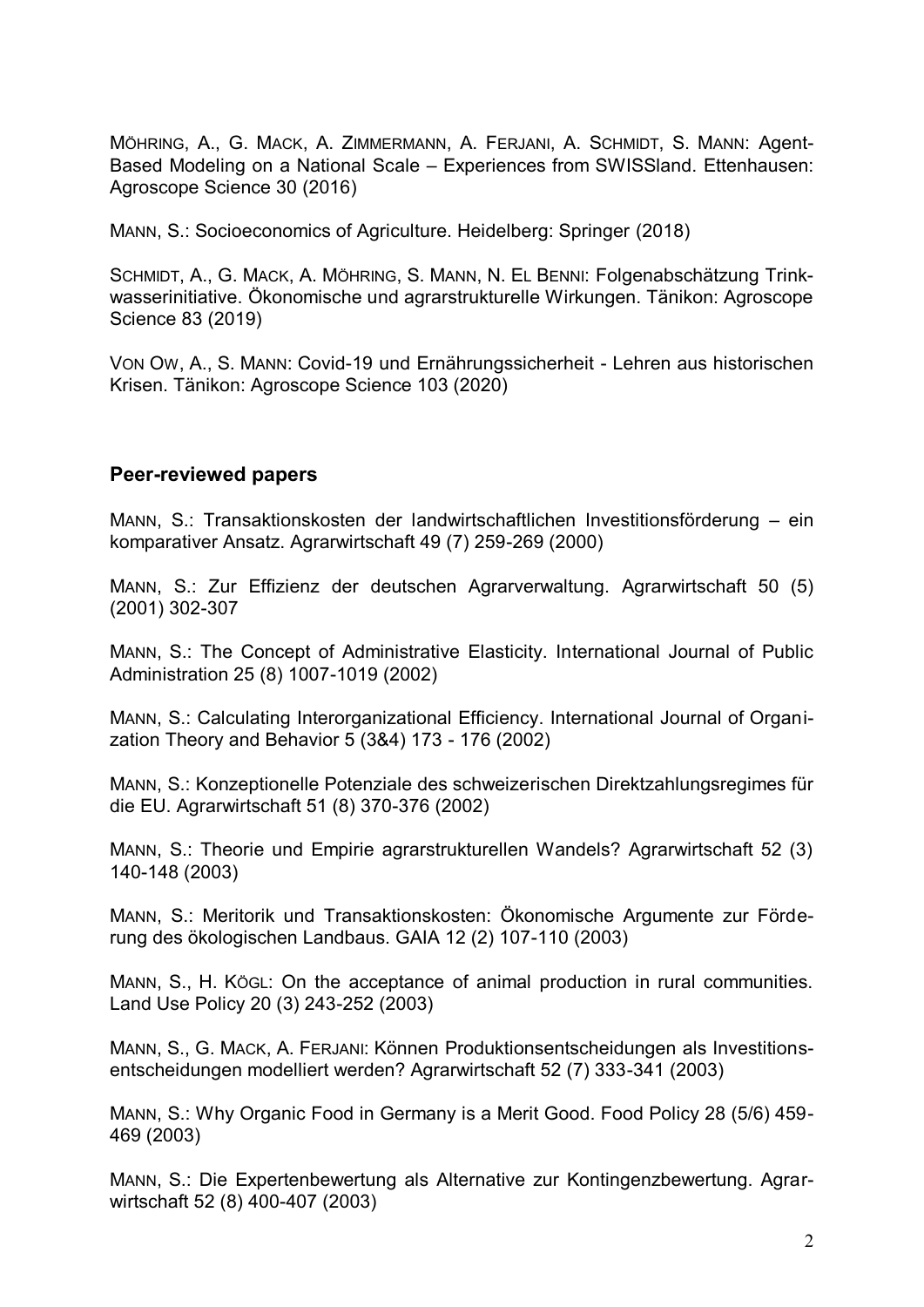MÖHRING, A., G. MACK, A. ZIMMERMANN, A. FERJANI, A. SCHMIDT, S. MANN: Agent-Based Modeling on a National Scale – Experiences from SWISSland. Ettenhausen: Agroscope Science 30 (2016)

MANN, S.: Socioeconomics of Agriculture. Heidelberg: Springer (2018)

SCHMIDT, A., G. MACK, A. MÖHRING, S. MANN, N. EL BENNI: Folgenabschätzung Trinkwasserinitiative. Ökonomische und agrarstrukturelle Wirkungen. Tänikon: Agroscope Science 83 (2019)

VON OW, A., S. MANN: Covid-19 und Ernährungssicherheit - Lehren aus historischen Krisen. Tänikon: Agroscope Science 103 (2020)

## **Peer-reviewed papers**

MANN, S.: Transaktionskosten der landwirtschaftlichen Investitionsförderung – ein komparativer Ansatz. Agrarwirtschaft 49 (7) 259-269 (2000)

MANN, S.: Zur Effizienz der deutschen Agrarverwaltung. Agrarwirtschaft 50 (5) (2001) 302-307

MANN, S.: The Concept of Administrative Elasticity. International Journal of Public Administration 25 (8) 1007-1019 (2002)

MANN, S.: Calculating Interorganizational Efficiency. International Journal of Organization Theory and Behavior 5 (3&4) 173 - 176 (2002)

MANN, S.: Konzeptionelle Potenziale des schweizerischen Direktzahlungsregimes für die EU. Agrarwirtschaft 51 (8) 370-376 (2002)

MANN, S.: Theorie und Empirie agrarstrukturellen Wandels? Agrarwirtschaft 52 (3) 140-148 (2003)

MANN, S.: Meritorik und Transaktionskosten: Ökonomische Argumente zur Förderung des ökologischen Landbaus. GAIA 12 (2) 107-110 (2003)

MANN, S., H. KÖGL: On the acceptance of animal production in rural communities. Land Use Policy 20 (3) 243-252 (2003)

MANN, S., G. MACK, A. FERJANI: Können Produktionsentscheidungen als Investitionsentscheidungen modelliert werden? Agrarwirtschaft 52 (7) 333-341 (2003)

MANN, S.: Why Organic Food in Germany is a Merit Good. Food Policy 28 (5/6) 459- 469 (2003)

MANN, S.: Die Expertenbewertung als Alternative zur Kontingenzbewertung. Agrarwirtschaft 52 (8) 400-407 (2003)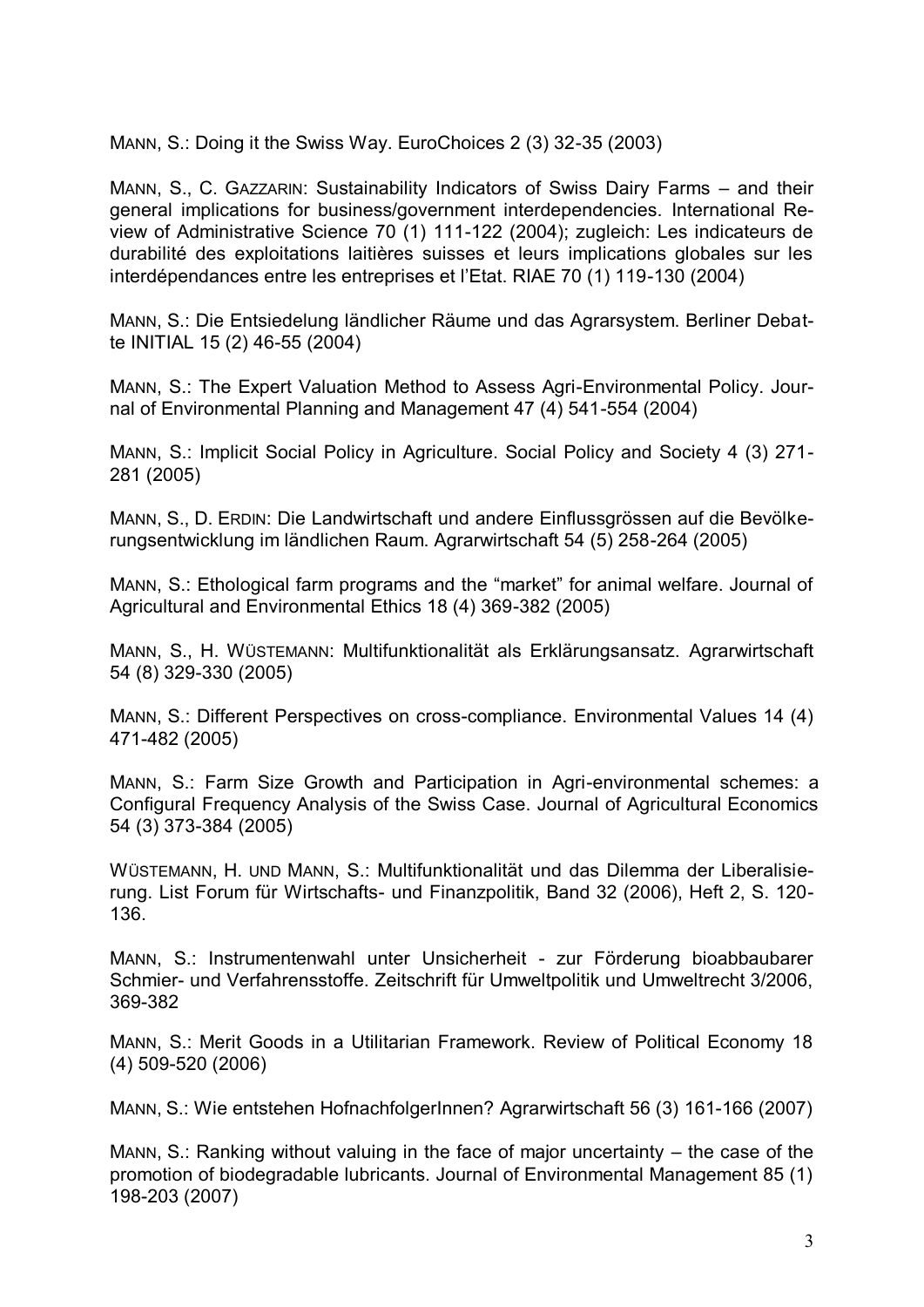MANN, S.: Doing it the Swiss Way. EuroChoices 2 (3) 32-35 (2003)

MANN, S., C. GAZZARIN: Sustainability Indicators of Swiss Dairy Farms – and their general implications for business/government interdependencies. International Review of Administrative Science 70 (1) 111-122 (2004); zugleich: Les indicateurs de durabilité des exploitations laitières suisses et leurs implications globales sur les interdépendances entre les entreprises et l'Etat. RIAE 70 (1) 119-130 (2004)

MANN, S.: Die Entsiedelung ländlicher Räume und das Agrarsystem. Berliner Debatte INITIAL 15 (2) 46-55 (2004)

MANN, S.: The Expert Valuation Method to Assess Agri-Environmental Policy. Journal of Environmental Planning and Management 47 (4) 541-554 (2004)

MANN, S.: Implicit Social Policy in Agriculture. Social Policy and Society 4 (3) 271- 281 (2005)

MANN, S., D. ERDIN: Die Landwirtschaft und andere Einflussgrössen auf die Bevölkerungsentwicklung im ländlichen Raum. Agrarwirtschaft 54 (5) 258-264 (2005)

MANN, S.: Ethological farm programs and the "market" for animal welfare. Journal of Agricultural and Environmental Ethics 18 (4) 369-382 (2005)

MANN, S., H. WÜSTEMANN: Multifunktionalität als Erklärungsansatz. Agrarwirtschaft 54 (8) 329-330 (2005)

MANN, S.: Different Perspectives on cross-compliance. Environmental Values 14 (4) 471-482 (2005)

MANN, S.: Farm Size Growth and Participation in Agri-environmental schemes: a Configural Frequency Analysis of the Swiss Case. Journal of Agricultural Economics 54 (3) 373-384 (2005)

WÜSTEMANN, H. UND MANN, S.: Multifunktionalität und das Dilemma der Liberalisierung. List Forum für Wirtschafts- und Finanzpolitik, Band 32 (2006), Heft 2, S. 120- 136.

MANN, S.: Instrumentenwahl unter Unsicherheit - zur Förderung bioabbaubarer Schmier- und Verfahrensstoffe. Zeitschrift für Umweltpolitik und Umweltrecht 3/2006, 369-382

MANN, S.: Merit Goods in a Utilitarian Framework. Review of Political Economy 18 (4) 509-520 (2006)

MANN, S.: Wie entstehen HofnachfolgerInnen? Agrarwirtschaft 56 (3) 161-166 (2007)

MANN, S.: Ranking without valuing in the face of major uncertainty – the case of the promotion of biodegradable lubricants. Journal of Environmental Management 85 (1) 198-203 (2007)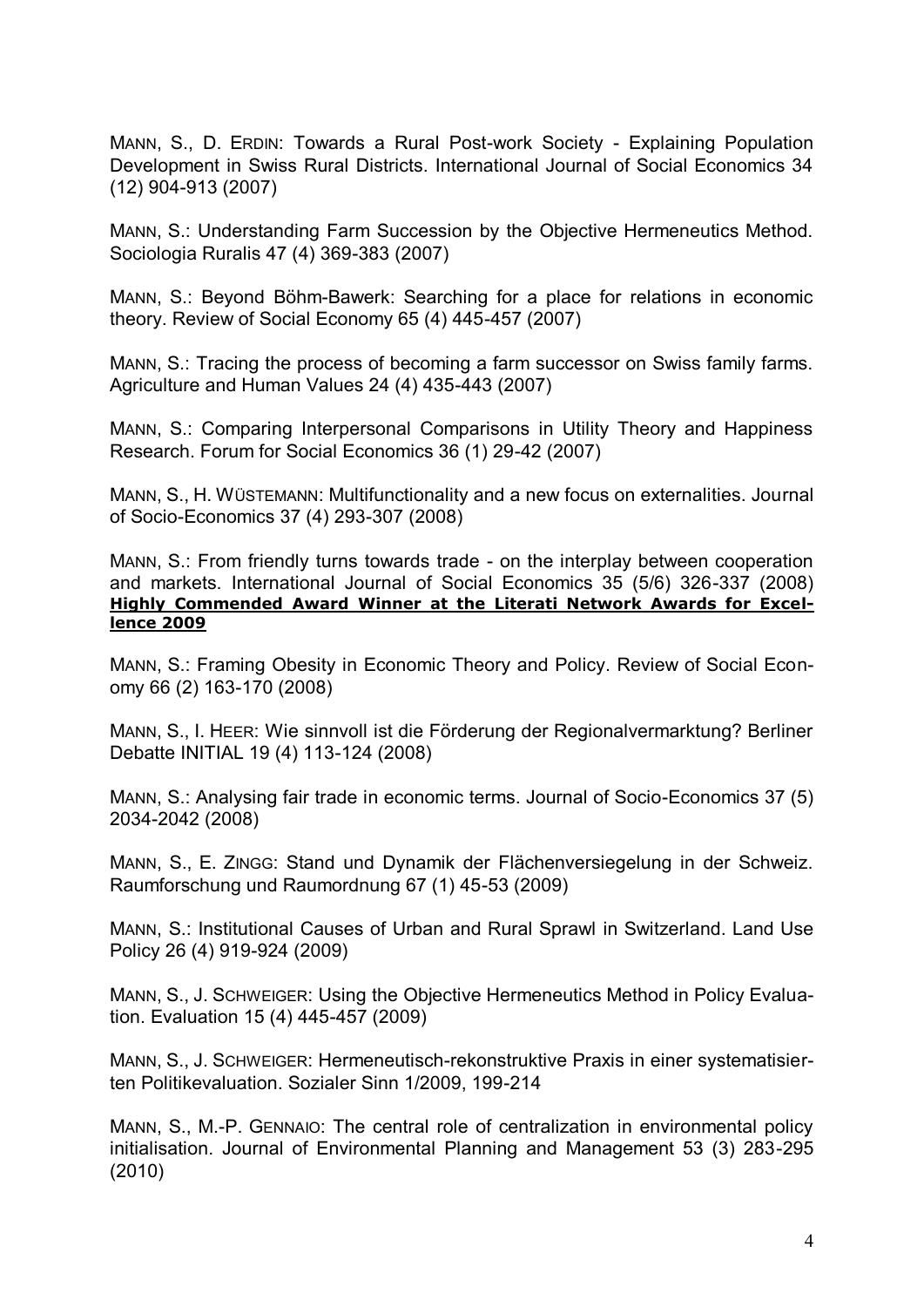MANN, S., D. ERDIN: Towards a Rural Post-work Society - Explaining Population Development in Swiss Rural Districts. International Journal of Social Economics 34 (12) 904-913 (2007)

MANN, S.: Understanding Farm Succession by the Objective Hermeneutics Method. Sociologia Ruralis 47 (4) 369-383 (2007)

MANN, S.: Beyond Böhm-Bawerk: Searching for a place for relations in economic theory. Review of Social Economy 65 (4) 445-457 (2007)

MANN, S.: Tracing the process of becoming a farm successor on Swiss family farms. Agriculture and Human Values 24 (4) 435-443 (2007)

MANN, S.: Comparing Interpersonal Comparisons in Utility Theory and Happiness Research. Forum for Social Economics 36 (1) 29-42 (2007)

MANN, S., H. WÜSTEMANN: Multifunctionality and a new focus on externalities. Journal of Socio-Economics 37 (4) 293-307 (2008)

MANN, S.: From friendly turns towards trade - on the interplay between cooperation and markets. International Journal of Social Economics 35 (5/6) 326-337 (2008) **Highly Commended Award Winner at the Literati Network Awards for Excellence 2009**

MANN, S.: Framing Obesity in Economic Theory and Policy. Review of Social Economy 66 (2) 163-170 (2008)

MANN, S., I. HEER: Wie sinnvoll ist die Förderung der Regionalvermarktung? Berliner Debatte INITIAL 19 (4) 113-124 (2008)

MANN, S.: Analysing fair trade in economic terms. Journal of Socio-Economics 37 (5) 2034-2042 (2008)

MANN, S., E. ZINGG: Stand und Dynamik der Flächenversiegelung in der Schweiz. Raumforschung und Raumordnung 67 (1) 45-53 (2009)

MANN, S.: Institutional Causes of Urban and Rural Sprawl in Switzerland. Land Use Policy 26 (4) 919-924 (2009)

MANN, S., J. SCHWEIGER: Using the Objective Hermeneutics Method in Policy Evaluation. Evaluation 15 (4) 445-457 (2009)

MANN, S., J. SCHWEIGER: Hermeneutisch-rekonstruktive Praxis in einer systematisierten Politikevaluation. Sozialer Sinn 1/2009, 199-214

MANN, S., M.-P. GENNAIO: The central role of centralization in environmental policy initialisation. Journal of Environmental Planning and Management 53 (3) 283-295 (2010)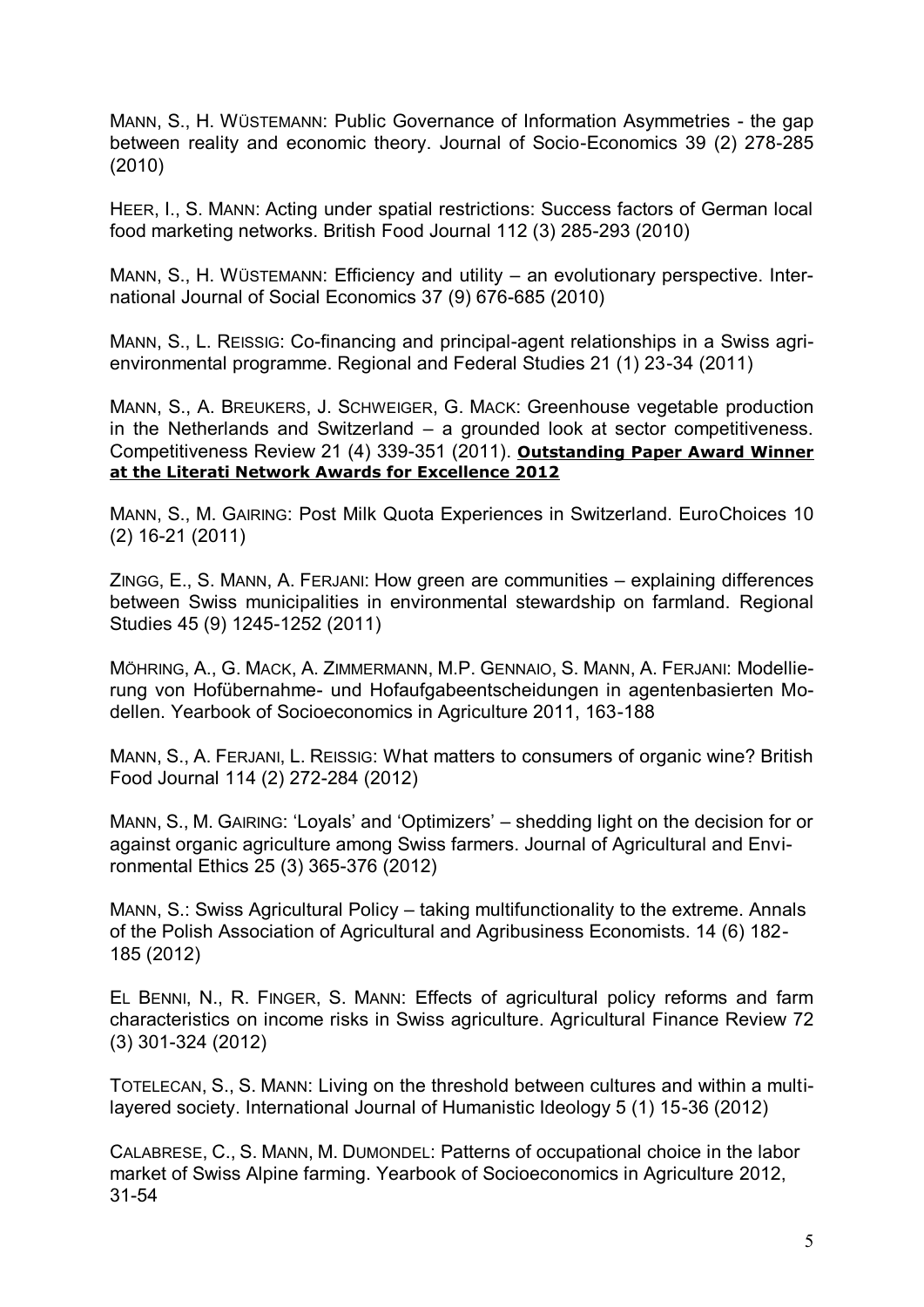MANN, S., H. WÜSTEMANN: Public Governance of Information Asymmetries - the gap between reality and economic theory. Journal of Socio-Economics 39 (2) 278-285 (2010)

HEER, I., S. MANN: Acting under spatial restrictions: Success factors of German local food marketing networks. British Food Journal 112 (3) 285-293 (2010)

MANN, S., H. WÜSTEMANN: Efficiency and utility – an evolutionary perspective. International Journal of Social Economics 37 (9) 676-685 (2010)

MANN, S., L. REISSIG: Co-financing and principal-agent relationships in a Swiss agrienvironmental programme. Regional and Federal Studies 21 (1) 23-34 (2011)

MANN, S., A. BREUKERS, J. SCHWEIGER, G. MACK: Greenhouse vegetable production in the Netherlands and Switzerland – a grounded look at sector competitiveness. Competitiveness Review 21 (4) 339-351 (2011). **Outstanding Paper Award Winner at the Literati Network Awards for Excellence 2012**

MANN, S., M. GAIRING: Post Milk Quota Experiences in Switzerland. EuroChoices 10 (2) 16-21 (2011)

ZINGG, E., S. MANN, A. FERJANI: How green are communities – explaining differences between Swiss municipalities in environmental stewardship on farmland. Regional Studies 45 (9) 1245-1252 (2011)

MÖHRING, A., G. MACK, A. ZIMMERMANN, M.P. GENNAIO, S. MANN, A. FERJANI: Modellierung von Hofübernahme- und Hofaufgabeentscheidungen in agentenbasierten Modellen. Yearbook of Socioeconomics in Agriculture 2011, 163-188

MANN, S., A. FERJANI, L. REISSIG: What matters to consumers of organic wine? British Food Journal 114 (2) 272-284 (2012)

MANN, S., M. GAIRING: 'Loyals' and 'Optimizers' – shedding light on the decision for or against organic agriculture among Swiss farmers. Journal of Agricultural and Environmental Ethics 25 (3) 365-376 (2012)

MANN, S.: Swiss Agricultural Policy – taking multifunctionality to the extreme. Annals of the Polish Association of Agricultural and Agribusiness Economists. 14 (6) 182- 185 (2012)

EL BENNI, N., R. FINGER, S. MANN: Effects of agricultural policy reforms and farm characteristics on income risks in Swiss agriculture. Agricultural Finance Review 72 (3) 301-324 (2012)

TOTELECAN, S., S. MANN: Living on the threshold between cultures and within a multilayered society. International Journal of Humanistic Ideology 5 (1) 15-36 (2012)

CALABRESE, C., S. MANN, M. DUMONDEL: Patterns of occupational choice in the labor market of Swiss Alpine farming. Yearbook of Socioeconomics in Agriculture 2012, 31-54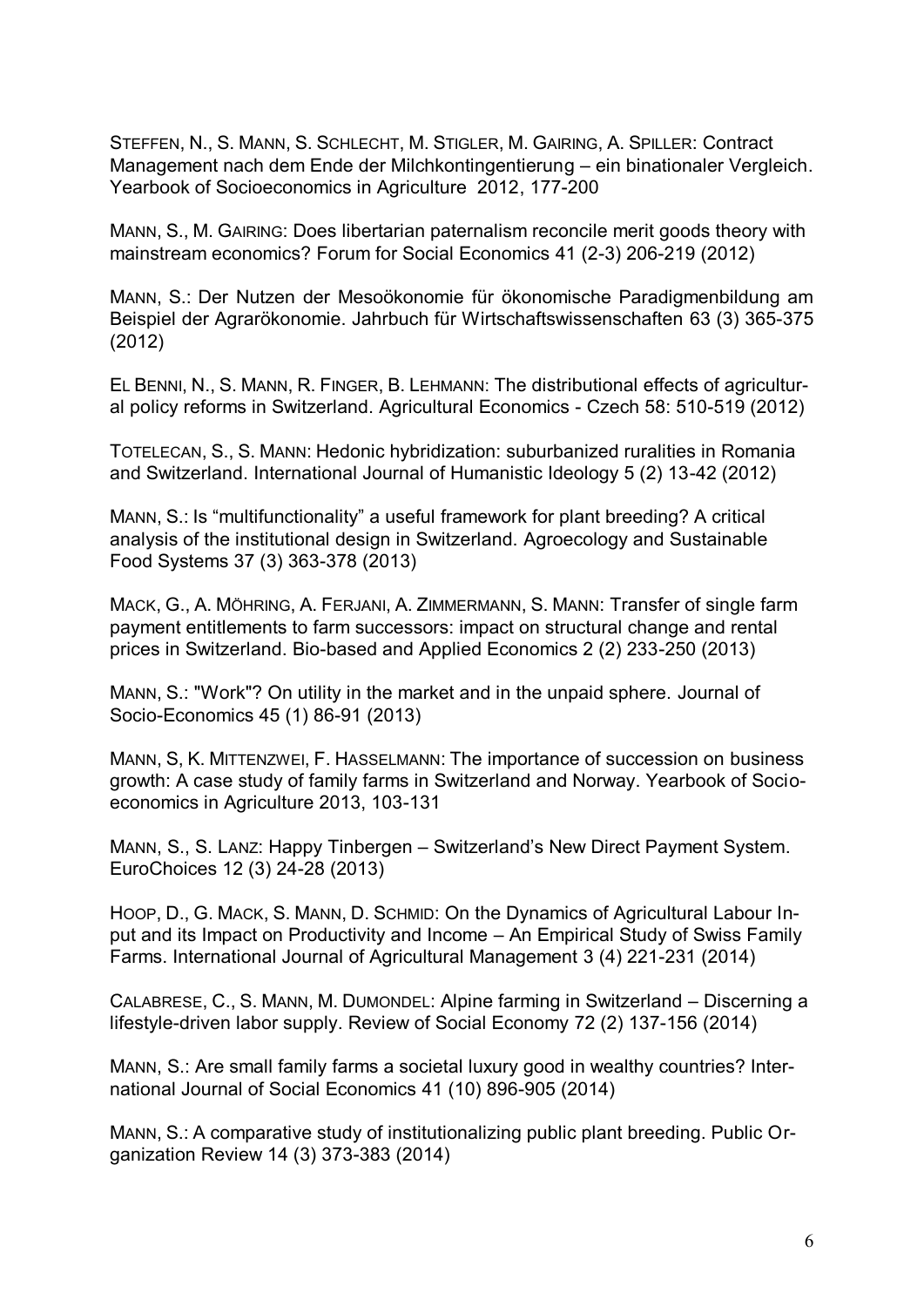STEFFEN, N., S. MANN, S. SCHLECHT, M. STIGLER, M. GAIRING, A. SPILLER: Contract Management nach dem Ende der Milchkontingentierung – ein binationaler Vergleich. Yearbook of Socioeconomics in Agriculture 2012, 177-200

MANN, S., M. GAIRING: Does libertarian paternalism reconcile merit goods theory with mainstream economics? Forum for Social Economics 41 (2-3) 206-219 (2012)

MANN, S.: Der Nutzen der Mesoökonomie für ökonomische Paradigmenbildung am Beispiel der Agrarökonomie. Jahrbuch für Wirtschaftswissenschaften 63 (3) 365-375 (2012)

EL BENNI, N., S. MANN, R. FINGER, B. LEHMANN: The distributional effects of agricultural policy reforms in Switzerland. Agricultural Economics - Czech 58: 510-519 (2012)

TOTELECAN, S., S. MANN: Hedonic hybridization: suburbanized ruralities in Romania and Switzerland. International Journal of Humanistic Ideology 5 (2) 13-42 (2012)

MANN, S.: Is "multifunctionality" a useful framework for plant breeding? A critical analysis of the institutional design in Switzerland. Agroecology and Sustainable Food Systems 37 (3) 363-378 (2013)

MACK, G., A. MÖHRING, A. FERJANI, A. ZIMMERMANN, S. MANN: Transfer of single farm payment entitlements to farm successors: impact on structural change and rental prices in Switzerland. Bio-based and Applied Economics 2 (2) 233-250 (2013)

MANN, S.: "Work"? On utility in the market and in the unpaid sphere. Journal of Socio-Economics 45 (1) 86-91 (2013)

MANN, S, K. MITTENZWEI, F. HASSELMANN: The importance of succession on business growth: A case study of family farms in Switzerland and Norway. Yearbook of Socioeconomics in Agriculture 2013, 103-131

MANN, S., S. LANZ: Happy Tinbergen – Switzerland's New Direct Payment System. EuroChoices 12 (3) 24-28 (2013)

HOOP, D., G. MACK, S. MANN, D. SCHMID: On the Dynamics of Agricultural Labour Input and its Impact on Productivity and Income – An Empirical Study of Swiss Family Farms. International Journal of Agricultural Management 3 (4) 221-231 (2014)

CALABRESE, C., S. MANN, M. DUMONDEL: Alpine farming in Switzerland – Discerning a lifestyle-driven labor supply. Review of Social Economy 72 (2) 137-156 (2014)

MANN, S.: Are small family farms a societal luxury good in wealthy countries? International Journal of Social Economics 41 (10) 896-905 (2014)

MANN, S.: A comparative study of institutionalizing public plant breeding. Public Organization Review 14 (3) 373-383 (2014)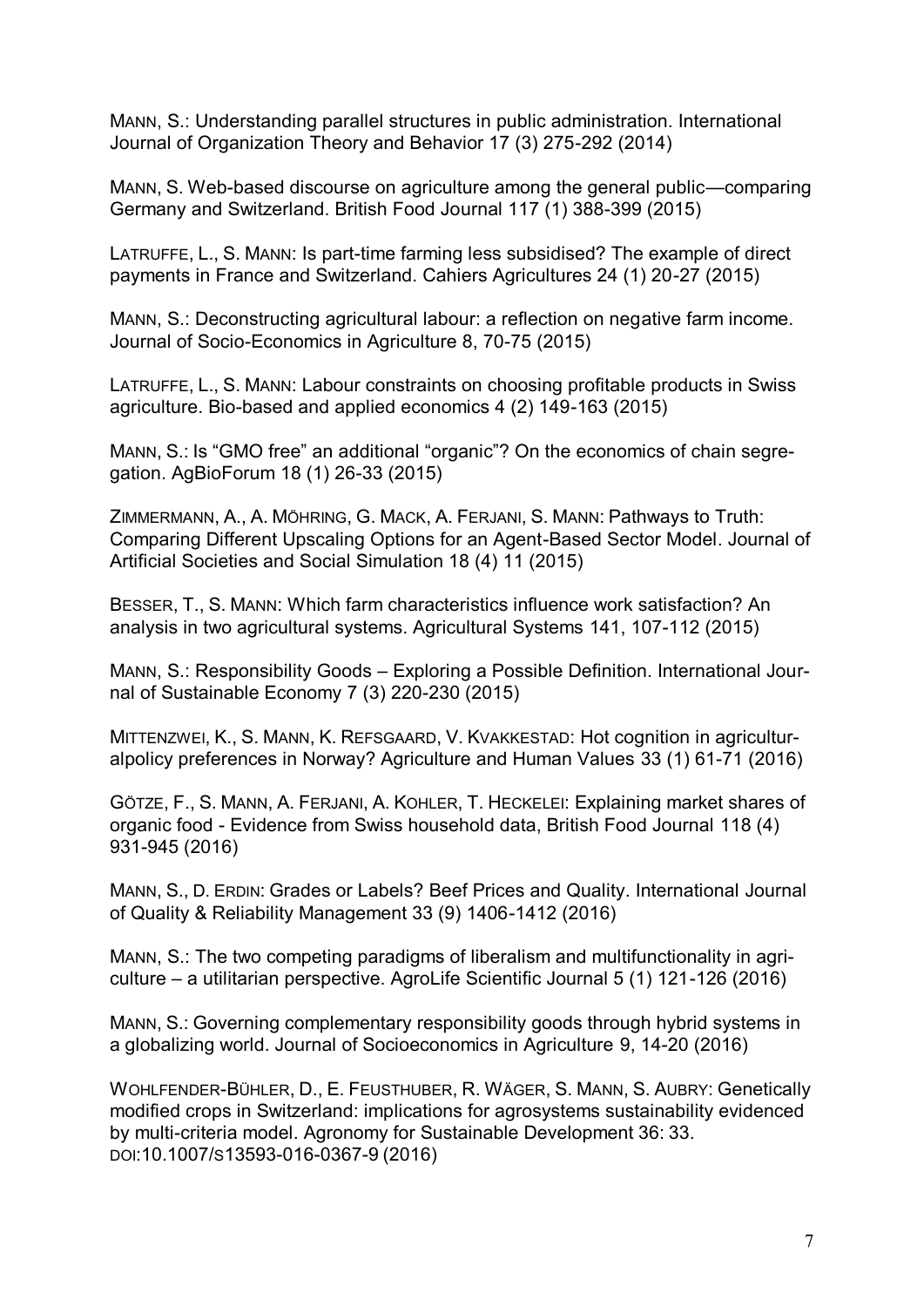MANN, S.: Understanding parallel structures in public administration. International Journal of Organization Theory and Behavior 17 (3) 275-292 (2014)

MANN, S. Web-based discourse on agriculture among the general public—comparing Germany and Switzerland. British Food Journal 117 (1) 388-399 (2015)

LATRUFFE, L., S. MANN: Is part-time farming less subsidised? The example of direct payments in France and Switzerland. Cahiers Agricultures 24 (1) 20-27 (2015)

MANN, S.: Deconstructing agricultural labour: a reflection on negative farm income. Journal of Socio-Economics in Agriculture 8, 70-75 (2015)

LATRUFFE, L., S. MANN: Labour constraints on choosing profitable products in Swiss agriculture. Bio-based and applied economics 4 (2) 149-163 (2015)

MANN, S.: Is "GMO free" an additional "organic"? On the economics of chain segregation. AgBioForum 18 (1) 26-33 (2015)

ZIMMERMANN, A., A. MÖHRING, G. MACK, A. FERJANI, S. MANN: Pathways to Truth: Comparing Different Upscaling Options for an Agent-Based Sector Model. Journal of Artificial Societies and Social Simulation 18 (4) 11 (2015)

BESSER, T., S. MANN: Which farm characteristics influence work satisfaction? An analysis in two agricultural systems. Agricultural Systems 141, 107-112 (2015)

MANN, S.: Responsibility Goods – Exploring a Possible Definition. International Journal of Sustainable Economy 7 (3) 220-230 (2015)

MITTENZWEI, K., S. MANN, K. REFSGAARD, V. KVAKKESTAD: Hot cognition in agriculturalpolicy preferences in Norway? Agriculture and Human Values 33 (1) 61-71 (2016)

GÖTZE, F., S. MANN, A. FERJANI, A. KOHLER, T. HECKELEI: Explaining market shares of organic food - Evidence from Swiss household data, British Food Journal 118 (4) 931-945 (2016)

MANN, S., D. ERDIN: Grades or Labels? Beef Prices and Quality. International Journal of Quality & Reliability Management 33 (9) 1406-1412 (2016)

MANN, S.: The two competing paradigms of liberalism and multifunctionality in agriculture – a utilitarian perspective. AgroLife Scientific Journal 5 (1) 121-126 (2016)

MANN, S.: Governing complementary responsibility goods through hybrid systems in a globalizing world. Journal of Socioeconomics in Agriculture 9, 14-20 (2016)

WOHLFENDER-BÜHLER, D., E. FEUSTHUBER, R. WÄGER, S. MANN, S. AUBRY: Genetically modified crops in Switzerland: implications for agrosystems sustainability evidenced by multi-criteria model. Agronomy for Sustainable Development 36: 33. DOI:10.1007/S13593-016-0367-9 (2016)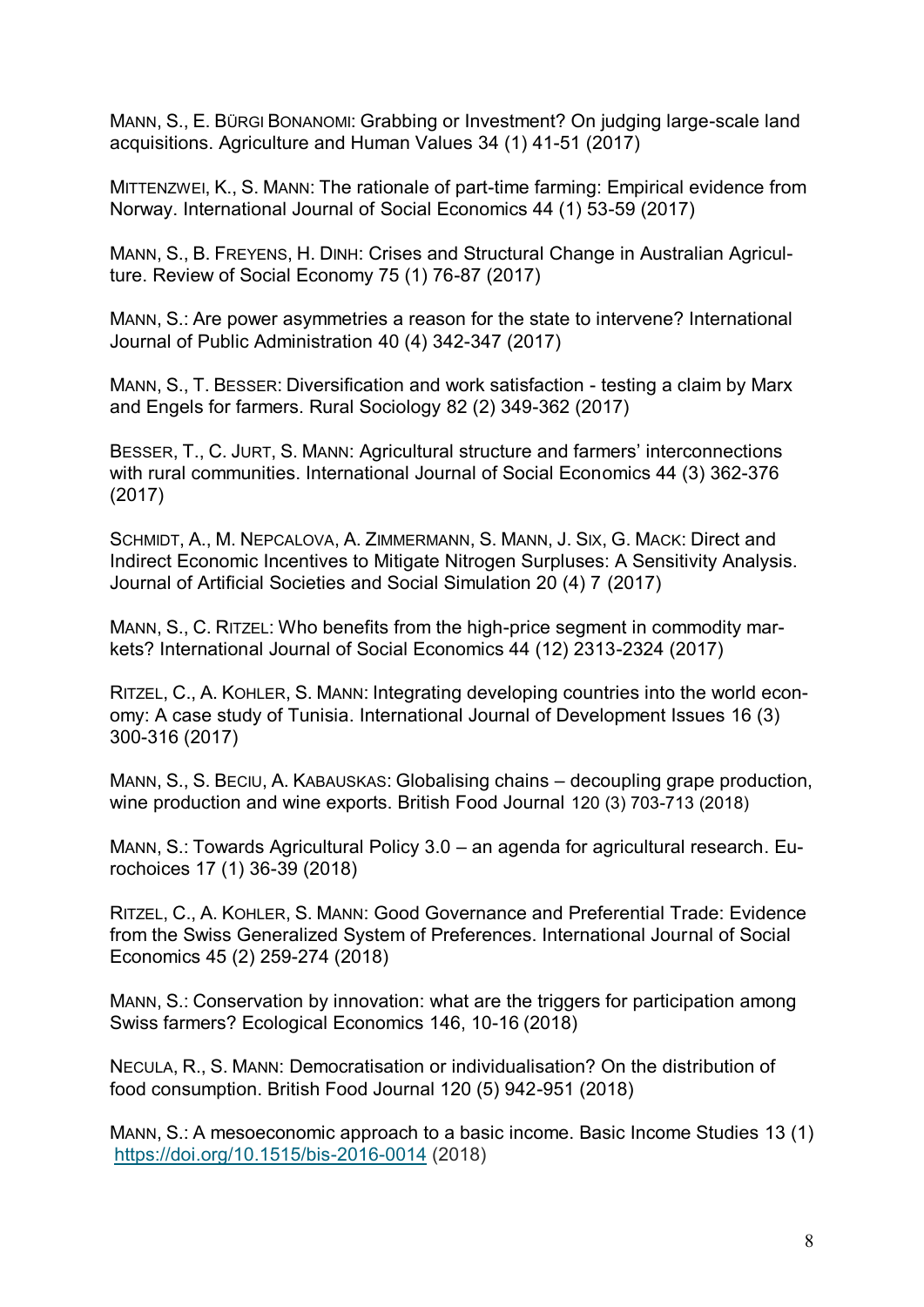MANN, S., E. BÜRGI BONANOMI: Grabbing or Investment? On judging large-scale land acquisitions. Agriculture and Human Values 34 (1) 41-51 (2017)

MITTENZWEI, K., S. MANN: The rationale of part-time farming: Empirical evidence from Norway. International Journal of Social Economics 44 (1) 53-59 (2017)

MANN, S., B. FREYENS, H. DINH: Crises and Structural Change in Australian Agriculture. Review of Social Economy 75 (1) 76-87 (2017)

MANN, S.: Are power asymmetries a reason for the state to intervene? International Journal of Public Administration 40 (4) 342-347 (2017)

MANN, S., T. BESSER: Diversification and work satisfaction - testing a claim by Marx and Engels for farmers. Rural Sociology 82 (2) 349-362 (2017)

BESSER, T., C. JURT, S. MANN: Agricultural structure and farmers' interconnections with rural communities. International Journal of Social Economics 44 (3) 362-376 (2017)

SCHMIDT, A., M. NEPCALOVA, A. ZIMMERMANN, S. MANN, J. SIX, G. MACK: Direct and Indirect Economic Incentives to Mitigate Nitrogen Surpluses: A Sensitivity Analysis. Journal of Artificial Societies and Social Simulation 20 (4) 7 (2017)

MANN, S., C. RITZEL: Who benefits from the high-price segment in commodity markets? International Journal of Social Economics 44 (12) 2313-2324 (2017)

RITZEL, C., A. KOHLER, S. MANN: Integrating developing countries into the world economy: A case study of Tunisia. International Journal of Development Issues 16 (3) 300-316 (2017)

MANN, S., S. BECIU, A. KABAUSKAS: Globalising chains – decoupling grape production, wine production and wine exports. British Food Journal 120 (3) 703-713 (2018)

MANN, S.: Towards Agricultural Policy 3.0 – an agenda for agricultural research. Eurochoices 17 (1) 36-39 (2018)

RITZEL, C., A. KOHLER, S. MANN: Good Governance and Preferential Trade: Evidence from the Swiss Generalized System of Preferences. International Journal of Social Economics 45 (2) 259-274 (2018)

MANN, S.: Conservation by innovation: what are the triggers for participation among Swiss farmers? Ecological Economics 146, 10-16 (2018)

NECULA, R., S. MANN: Democratisation or individualisation? On the distribution of food consumption. British Food Journal 120 (5) 942-951 (2018)

MANN, S.: A mesoeconomic approach to a basic income. Basic Income Studies 13 (1) <https://doi.org/10.1515/bis-2016-0014> (2018)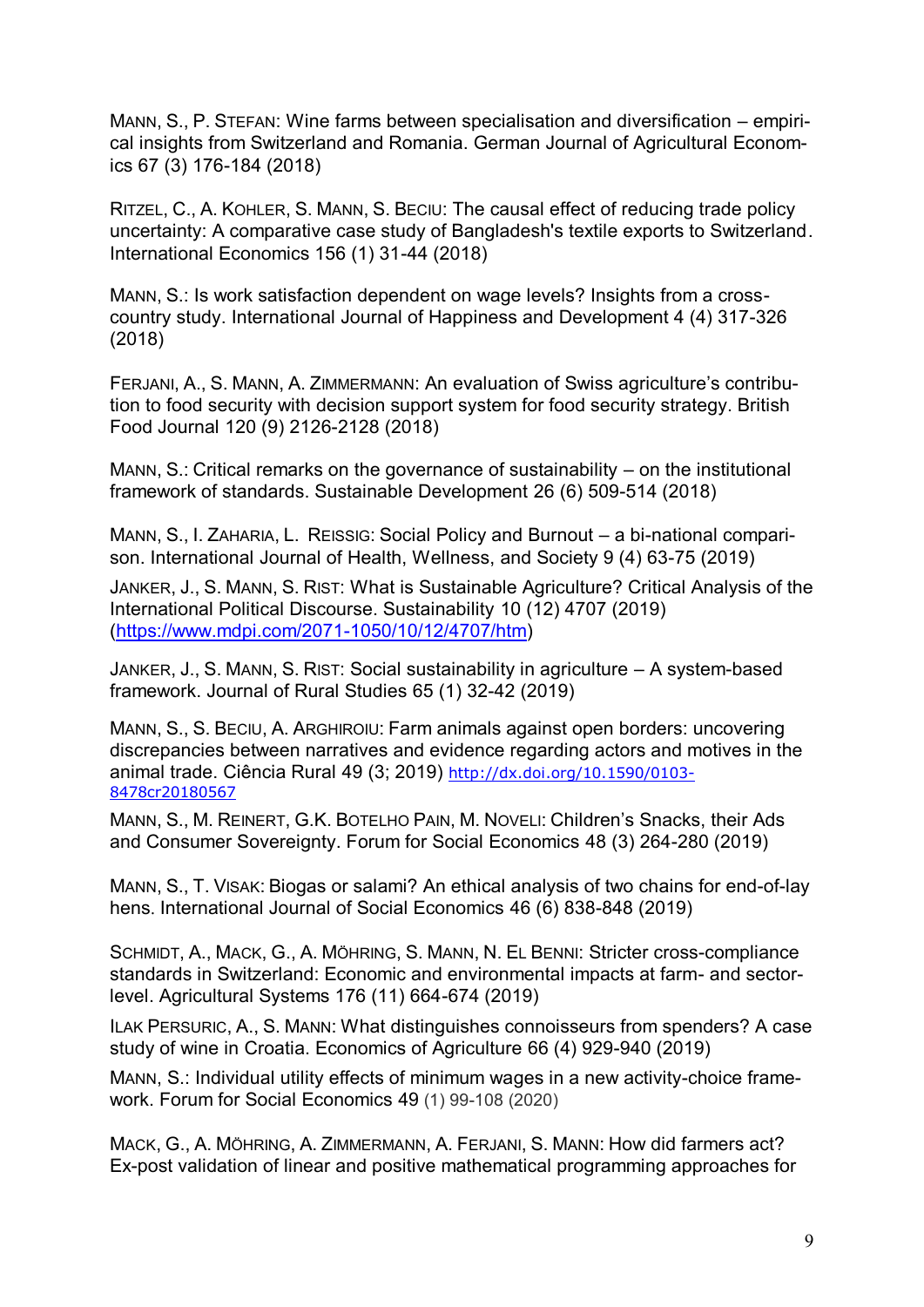MANN, S., P. STEFAN: Wine farms between specialisation and diversification – empirical insights from Switzerland and Romania. German Journal of Agricultural Economics 67 (3) 176-184 (2018)

RITZEL, C., A. KOHLER, S. MANN, S. BECIU: The causal effect of reducing trade policy uncertainty: A comparative case study of Bangladesh's textile exports to Switzerland. International Economics 156 (1) 31-44 (2018)

MANN, S.: Is work satisfaction dependent on wage levels? Insights from a crosscountry study. International Journal of Happiness and Development 4 (4) 317-326 (2018)

FERJANI, A., S. MANN, A. ZIMMERMANN: An evaluation of Swiss agriculture's contribution to food security with decision support system for food security strategy. British Food Journal 120 (9) 2126-2128 (2018)

MANN, S.: Critical remarks on the governance of sustainability – on the institutional framework of standards. Sustainable Development 26 (6) 509-514 (2018)

MANN, S., I. ZAHARIA, L. REISSIG: Social Policy and Burnout – a bi-national comparison. International Journal of Health, Wellness, and Society 9 (4) 63-75 (2019)

JANKER, J., S. MANN, S. RIST: What is Sustainable Agriculture? Critical Analysis of the International Political Discourse. Sustainability 10 (12) 4707 (2019) [\(https://www.mdpi.com/2071-1050/10/12/4707/htm\)](https://www.mdpi.com/2071-1050/10/12/4707/htm)

JANKER, J., S. MANN, S. RIST: Social sustainability in agriculture – A system-based framework. Journal of Rural Studies 65 (1) 32-42 (2019)

MANN, S., S. BECIU, A. ARGHIROIU: Farm animals against open borders: uncovering discrepancies between narratives and evidence regarding actors and motives in the animal trade. Ciência Rural 49 (3; 2019) [http://dx.doi.org/10.1590/0103-](http://dx.doi.org/10.1590/0103-8478cr20180567) [8478cr20180567](http://dx.doi.org/10.1590/0103-8478cr20180567)

MANN, S., M. REINERT, G.K. BOTELHO PAIN, M. NOVELI: Children's Snacks, their Ads and Consumer Sovereignty. Forum for Social Economics 48 (3) 264-280 (2019)

MANN, S., T. VISAK: Biogas or salami? An ethical analysis of two chains for end-of-lay hens. International Journal of Social Economics 46 (6) 838-848 (2019)

SCHMIDT, A., MACK, G., A. MÖHRING, S. MANN, N. EL BENNI: Stricter cross-compliance standards in Switzerland: Economic and environmental impacts at farm- and sectorlevel. Agricultural Systems 176 (11) 664-674 (2019)

ILAK PERSURIC, A., S. MANN: What distinguishes connoisseurs from spenders? A case study of wine in Croatia. Economics of Agriculture 66 (4) 929-940 (2019)

MANN, S.: Individual utility effects of minimum wages in a new activity-choice framework. Forum for Social Economics 49 (1) 99-108 (2020)

MACK, G., A. MÖHRING, A. ZIMMERMANN, A. FERJANI, S. MANN: How did farmers act? Ex-post validation of linear and positive mathematical programming approaches for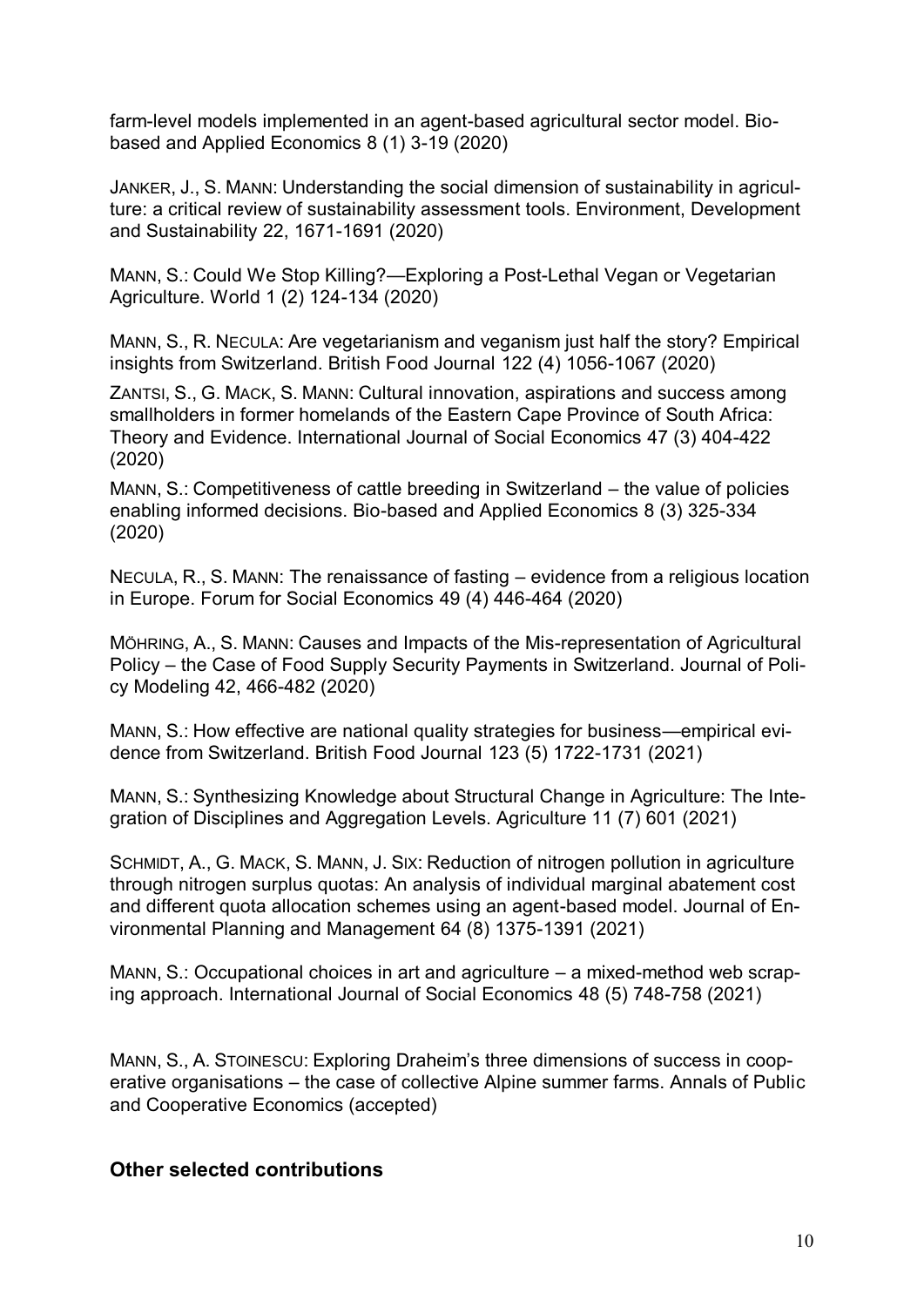farm-level models implemented in an agent-based agricultural sector model. Biobased and Applied Economics 8 (1) 3-19 (2020)

JANKER, J., S. MANN: Understanding the social dimension of sustainability in agriculture: a critical review of sustainability assessment tools. Environment, Development and Sustainability 22, 1671-1691 (2020)

MANN, S.: Could We Stop Killing?—Exploring a Post-Lethal Vegan or Vegetarian Agriculture. World 1 (2) 124-134 (2020)

MANN, S., R. NECULA: Are vegetarianism and veganism just half the story? Empirical insights from Switzerland. British Food Journal 122 (4) 1056-1067 (2020)

ZANTSI, S., G. MACK, S. MANN: Cultural innovation, aspirations and success among smallholders in former homelands of the Eastern Cape Province of South Africa: Theory and Evidence. International Journal of Social Economics 47 (3) 404-422 (2020)

MANN, S.: Competitiveness of cattle breeding in Switzerland – the value of policies enabling informed decisions. Bio-based and Applied Economics 8 (3) 325-334 (2020)

NECULA, R., S. MANN: The renaissance of fasting – evidence from a religious location in Europe. Forum for Social Economics 49 (4) 446-464 (2020)

MÖHRING, A., S. MANN: Causes and Impacts of the Mis-representation of Agricultural Policy – the Case of Food Supply Security Payments in Switzerland. Journal of Policy Modeling 42, 466-482 (2020)

MANN, S.: How effective are national quality strategies for business—empirical evidence from Switzerland. British Food Journal 123 (5) 1722-1731 (2021)

MANN, S.: Synthesizing Knowledge about Structural Change in Agriculture: The Integration of Disciplines and Aggregation Levels. Agriculture 11 (7) 601 (2021)

SCHMIDT, A., G. MACK, S. MANN, J. SIX: Reduction of nitrogen pollution in agriculture through nitrogen surplus quotas: An analysis of individual marginal abatement cost and different quota allocation schemes using an agent-based model. Journal of Environmental Planning and Management 64 (8) 1375-1391 (2021)

MANN, S.: Occupational choices in art and agriculture – a mixed-method web scraping approach. International Journal of Social Economics 48 (5) 748-758 (2021)

MANN, S., A. STOINESCU: Exploring Draheim's three dimensions of success in cooperative organisations – the case of collective Alpine summer farms. Annals of Public and Cooperative Economics (accepted)

## **Other selected contributions**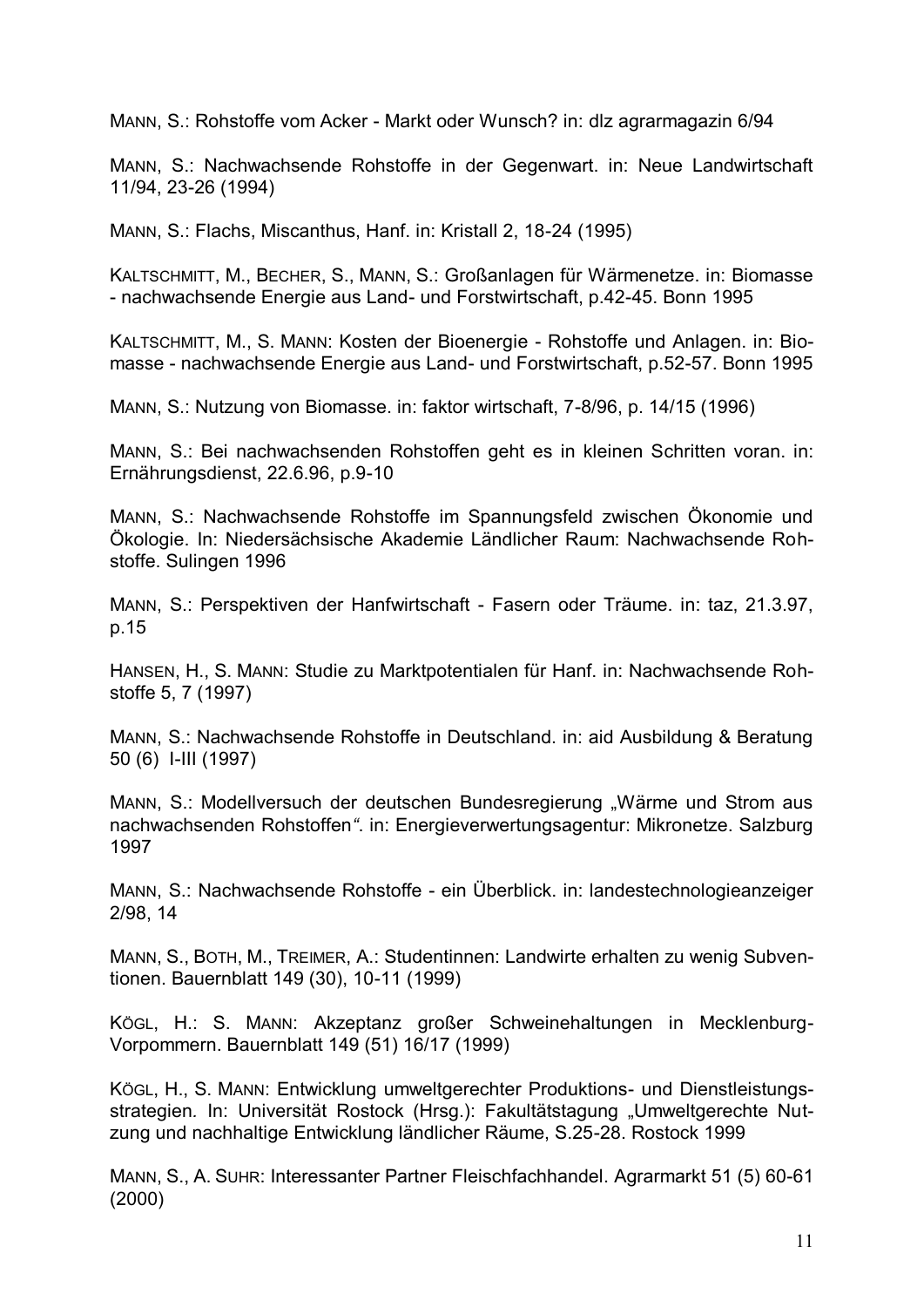MANN, S.: Rohstoffe vom Acker - Markt oder Wunsch? in: dlz agrarmagazin 6/94

MANN, S.: Nachwachsende Rohstoffe in der Gegenwart. in: Neue Landwirtschaft 11/94, 23-26 (1994)

MANN, S.: Flachs, Miscanthus, Hanf. in: Kristall 2, 18-24 (1995)

KALTSCHMITT, M., BECHER, S., MANN, S.: Großanlagen für Wärmenetze. in: Biomasse - nachwachsende Energie aus Land- und Forstwirtschaft, p.42-45. Bonn 1995

KALTSCHMITT, M., S. MANN: Kosten der Bioenergie - Rohstoffe und Anlagen. in: Biomasse - nachwachsende Energie aus Land- und Forstwirtschaft, p.52-57. Bonn 1995

MANN, S.: Nutzung von Biomasse. in: faktor wirtschaft, 7-8/96, p. 14/15 (1996)

MANN, S.: Bei nachwachsenden Rohstoffen geht es in kleinen Schritten voran. in: Ernährungsdienst, 22.6.96, p.9-10

MANN, S.: Nachwachsende Rohstoffe im Spannungsfeld zwischen Ökonomie und Ökologie. In: Niedersächsische Akademie Ländlicher Raum: Nachwachsende Rohstoffe. Sulingen 1996

MANN, S.: Perspektiven der Hanfwirtschaft - Fasern oder Träume. in: taz, 21.3.97, p.15

HANSEN, H., S. MANN: Studie zu Marktpotentialen für Hanf. in: Nachwachsende Rohstoffe 5, 7 (1997)

MANN, S.: Nachwachsende Rohstoffe in Deutschland. in: aid Ausbildung & Beratung 50 (6) I-III (1997)

MANN, S.: Modellversuch der deutschen Bundesregierung "Wärme und Strom aus nachwachsenden Rohstoffen*"*. in: Energieverwertungsagentur: Mikronetze. Salzburg 1997

MANN, S.: Nachwachsende Rohstoffe - ein Überblick. in: landestechnologieanzeiger 2/98, 14

MANN, S., BOTH, M., TREIMER, A.: Studentinnen: Landwirte erhalten zu wenig Subventionen. Bauernblatt 149 (30), 10-11 (1999)

KÖGL, H.: S. MANN: Akzeptanz großer Schweinehaltungen in Mecklenburg-Vorpommern. Bauernblatt 149 (51) 16/17 (1999)

KÖGL, H., S. MANN: Entwicklung umweltgerechter Produktions- und Dienstleistungsstrategien. In: Universität Rostock (Hrsg.): Fakultätstagung "Umweltgerechte Nutzung und nachhaltige Entwicklung ländlicher Räume, S.25-28. Rostock 1999

MANN, S., A. SUHR: Interessanter Partner Fleischfachhandel. Agrarmarkt 51 (5) 60-61 (2000)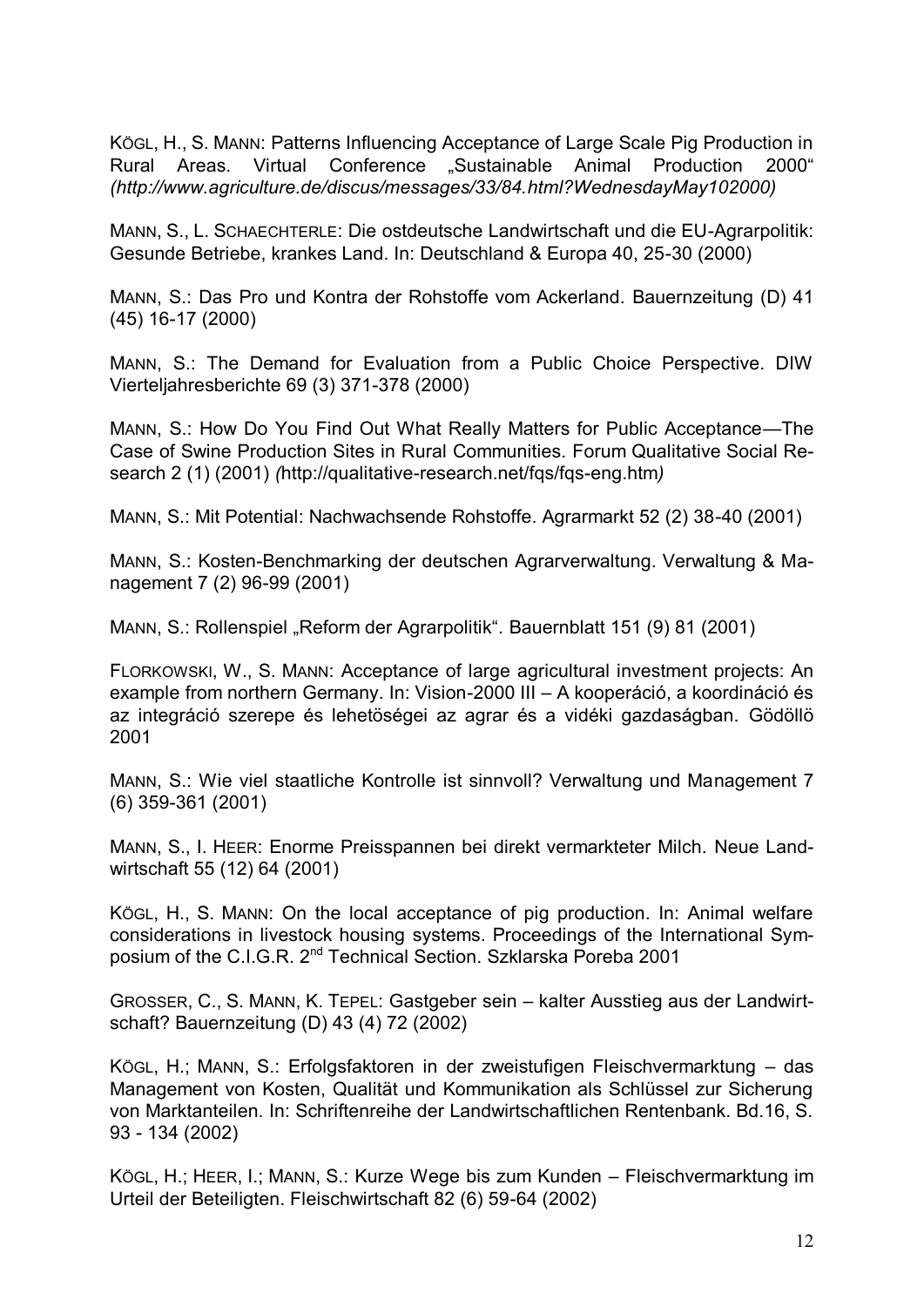KÖGL, H., S. MANN: Patterns Influencing Acceptance of Large Scale Pig Production in Rural Areas. Virtual Conference "Sustainable Animal Production 2000" *(http://www.agriculture.de/discus/messages/33/84.html?WednesdayMay102000)*

MANN, S., L. SCHAECHTERLE: Die ostdeutsche Landwirtschaft und die EU-Agrarpolitik: Gesunde Betriebe, krankes Land. In: Deutschland & Europa 40, 25-30 (2000)

MANN, S.: Das Pro und Kontra der Rohstoffe vom Ackerland. Bauernzeitung (D) 41 (45) 16-17 (2000)

MANN, S.: The Demand for Evaluation from a Public Choice Perspective. DIW Vierteljahresberichte 69 (3) 371-378 (2000)

MANN, S.: How Do You Find Out What Really Matters for Public Acceptance—The Case of Swine Production Sites in Rural Communities. Forum Qualitative Social Research 2 (1) (2001) *(*<http://qualitative-research.net/fqs/fqs-eng.htm>*)*

MANN, S.: Mit Potential: Nachwachsende Rohstoffe. Agrarmarkt 52 (2) 38-40 (2001)

MANN, S.: Kosten-Benchmarking der deutschen Agrarverwaltung. Verwaltung & Management 7 (2) 96-99 (2001)

MANN, S.: Rollenspiel "Reform der Agrarpolitik". Bauernblatt 151 (9) 81 (2001)

FLORKOWSKI, W., S. MANN: Acceptance of large agricultural investment projects: An example from northern Germany. In: Vision-2000 III – A kooperáció, a koordináció és az integráció szerepe és lehetöségei az agrar és a vidéki gazdaságban. Gödöllö 2001

MANN, S.: Wie viel staatliche Kontrolle ist sinnvoll? Verwaltung und Management 7 (6) 359-361 (2001)

MANN, S., I. HEER: Enorme Preisspannen bei direkt vermarkteter Milch. Neue Landwirtschaft 55 (12) 64 (2001)

KÖGL, H., S. MANN: On the local acceptance of pig production. In: Animal welfare considerations in livestock housing systems. Proceedings of the International Symposium of the C.I.G.R. 2<sup>nd</sup> Technical Section. Szklarska Poreba 2001

GROSSER, C., S. MANN, K. TEPEL: Gastgeber sein – kalter Ausstieg aus der Landwirtschaft? Bauernzeitung (D) 43 (4) 72 (2002)

KÖGL, H.; MANN, S.: Erfolgsfaktoren in der zweistufigen Fleischvermarktung – das Management von Kosten, Qualität und Kommunikation als Schlüssel zur Sicherung von Marktanteilen. In: Schriftenreihe der Landwirtschaftlichen Rentenbank. Bd.16, S. 93 - 134 (2002)

KÖGL, H.; HEER, I.; MANN, S.: Kurze Wege bis zum Kunden – Fleischvermarktung im Urteil der Beteiligten. Fleischwirtschaft 82 (6) 59-64 (2002)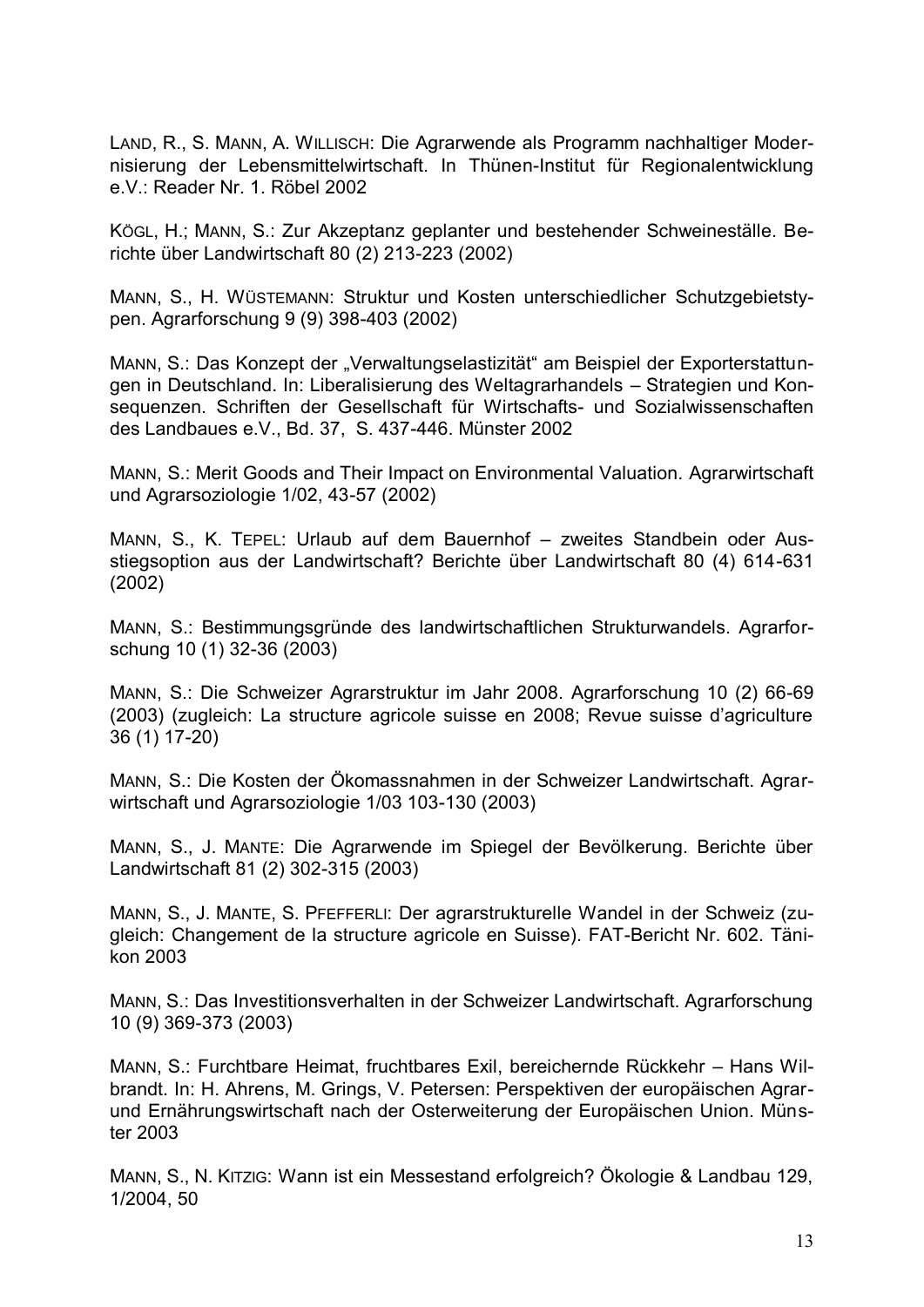LAND, R., S. MANN, A. WILLISCH: Die Agrarwende als Programm nachhaltiger Modernisierung der Lebensmittelwirtschaft. In Thünen-Institut für Regionalentwicklung e.V.: Reader Nr. 1. Röbel 2002

KÖGL, H.; MANN, S.: Zur Akzeptanz geplanter und bestehender Schweineställe. Berichte über Landwirtschaft 80 (2) 213-223 (2002)

MANN, S., H. WÜSTEMANN: Struktur und Kosten unterschiedlicher Schutzgebietstypen. Agrarforschung 9 (9) 398-403 (2002)

MANN, S.: Das Konzept der "Verwaltungselastizität" am Beispiel der Exporterstattungen in Deutschland. In: Liberalisierung des Weltagrarhandels – Strategien und Konsequenzen. Schriften der Gesellschaft für Wirtschafts- und Sozialwissenschaften des Landbaues e.V., Bd. 37, S. 437-446. Münster 2002

MANN, S.: Merit Goods and Their Impact on Environmental Valuation. Agrarwirtschaft und Agrarsoziologie 1/02, 43-57 (2002)

MANN, S., K. TEPEL: Urlaub auf dem Bauernhof – zweites Standbein oder Ausstiegsoption aus der Landwirtschaft? Berichte über Landwirtschaft 80 (4) 614-631 (2002)

MANN, S.: Bestimmungsgründe des landwirtschaftlichen Strukturwandels. Agrarforschung 10 (1) 32-36 (2003)

MANN, S.: Die Schweizer Agrarstruktur im Jahr 2008. Agrarforschung 10 (2) 66-69 (2003) (zugleich: La structure agricole suisse en 2008; Revue suisse d'agriculture 36 (1) 17-20)

MANN, S.: Die Kosten der Ökomassnahmen in der Schweizer Landwirtschaft. Agrarwirtschaft und Agrarsoziologie 1/03 103-130 (2003)

MANN, S., J. MANTE: Die Agrarwende im Spiegel der Bevölkerung. Berichte über Landwirtschaft 81 (2) 302-315 (2003)

MANN, S., J. MANTE, S. PFEFFERLI: Der agrarstrukturelle Wandel in der Schweiz (zugleich: Changement de la structure agricole en Suisse). FAT-Bericht Nr. 602. Tänikon 2003

MANN, S.: Das Investitionsverhalten in der Schweizer Landwirtschaft. Agrarforschung 10 (9) 369-373 (2003)

MANN, S.: Furchtbare Heimat, fruchtbares Exil, bereichernde Rückkehr – Hans Wilbrandt. In: H. Ahrens, M. Grings, V. Petersen: Perspektiven der europäischen Agrarund Ernährungswirtschaft nach der Osterweiterung der Europäischen Union. Münster 2003

MANN, S., N. KITZIG: Wann ist ein Messestand erfolgreich? Ökologie & Landbau 129, 1/2004, 50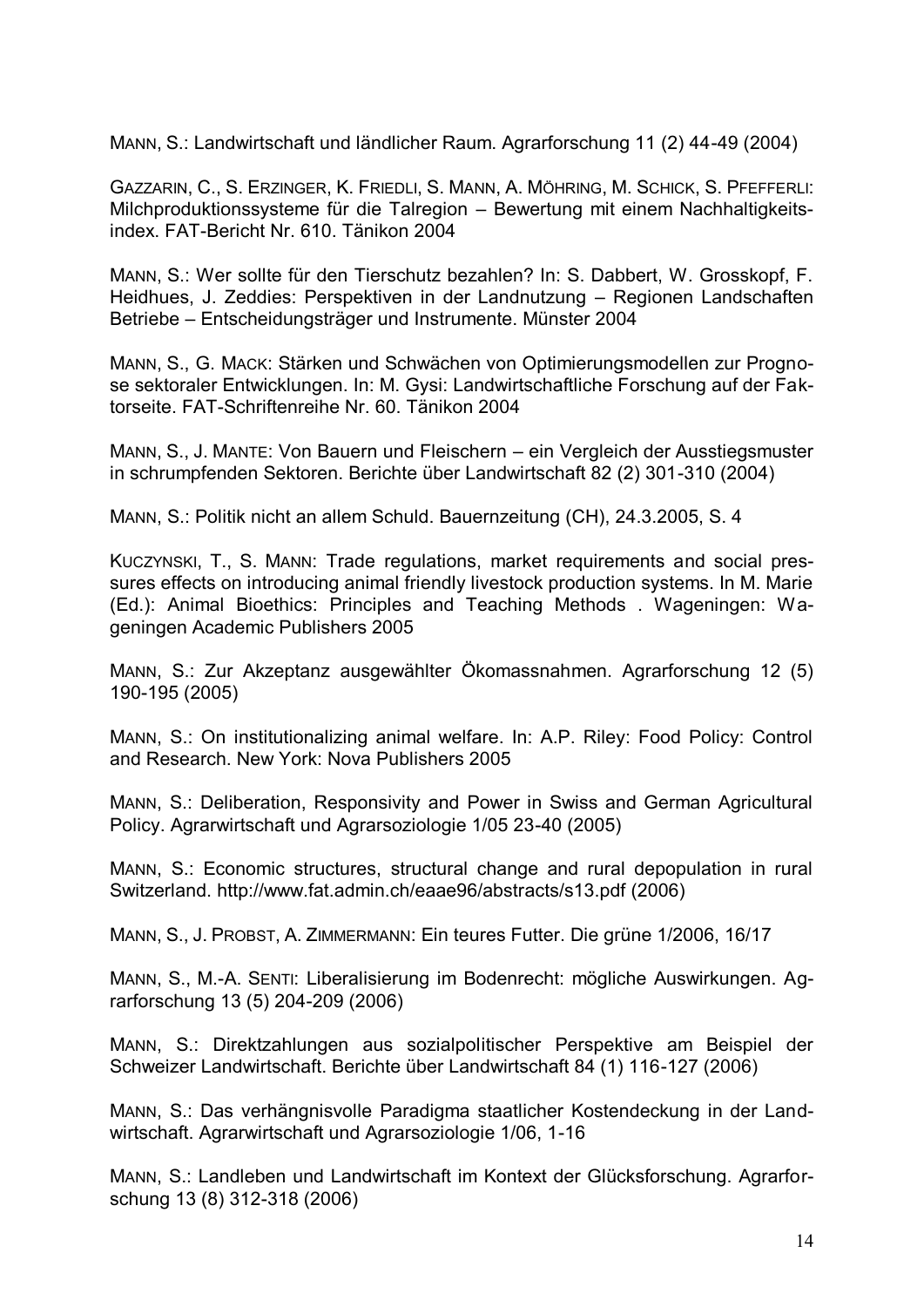MANN, S.: Landwirtschaft und ländlicher Raum. Agrarforschung 11 (2) 44-49 (2004)

GAZZARIN, C., S. ERZINGER, K. FRIEDLI, S. MANN, A. MÖHRING, M. SCHICK, S. PFEFFERLI: Milchproduktionssysteme für die Talregion – Bewertung mit einem Nachhaltigkeitsindex. FAT-Bericht Nr. 610. Tänikon 2004

MANN, S.: Wer sollte für den Tierschutz bezahlen? In: S. Dabbert, W. Grosskopf, F. Heidhues, J. Zeddies: Perspektiven in der Landnutzung – Regionen Landschaften Betriebe – Entscheidungsträger und Instrumente. Münster 2004

MANN, S., G. MACK: Stärken und Schwächen von Optimierungsmodellen zur Prognose sektoraler Entwicklungen. In: M. Gysi: Landwirtschaftliche Forschung auf der Faktorseite. FAT-Schriftenreihe Nr. 60. Tänikon 2004

MANN, S., J. MANTE: Von Bauern und Fleischern – ein Vergleich der Ausstiegsmuster in schrumpfenden Sektoren. Berichte über Landwirtschaft 82 (2) 301-310 (2004)

MANN, S.: Politik nicht an allem Schuld. Bauernzeitung (CH), 24.3.2005, S. 4

KUCZYNSKI, T., S. MANN: Trade regulations, market requirements and social pressures effects on introducing animal friendly livestock production systems. In M. Marie (Ed.): Animal Bioethics: Principles and Teaching Methods . Wageningen: Wageningen Academic Publishers 2005

MANN, S.: Zur Akzeptanz ausgewählter Ökomassnahmen. Agrarforschung 12 (5) 190-195 (2005)

MANN, S.: On institutionalizing animal welfare. In: A.P. Riley: Food Policy: Control and Research. New York: Nova Publishers 2005

MANN, S.: Deliberation, Responsivity and Power in Swiss and German Agricultural Policy. Agrarwirtschaft und Agrarsoziologie 1/05 23-40 (2005)

MANN, S.: Economic structures, structural change and rural depopulation in rural Switzerland.<http://www.fat.admin.ch/eaae96/abstracts/s13.pdf> (2006)

MANN, S., J. PROBST, A. ZIMMERMANN: Ein teures Futter. Die grüne 1/2006, 16/17

MANN, S., M.-A. SENTI: Liberalisierung im Bodenrecht: mögliche Auswirkungen. Agrarforschung 13 (5) 204-209 (2006)

MANN, S.: Direktzahlungen aus sozialpolitischer Perspektive am Beispiel der Schweizer Landwirtschaft. Berichte über Landwirtschaft 84 (1) 116-127 (2006)

MANN, S.: Das verhängnisvolle Paradigma staatlicher Kostendeckung in der Landwirtschaft. Agrarwirtschaft und Agrarsoziologie 1/06, 1-16

MANN, S.: Landleben und Landwirtschaft im Kontext der Glücksforschung. Agrarforschung 13 (8) 312-318 (2006)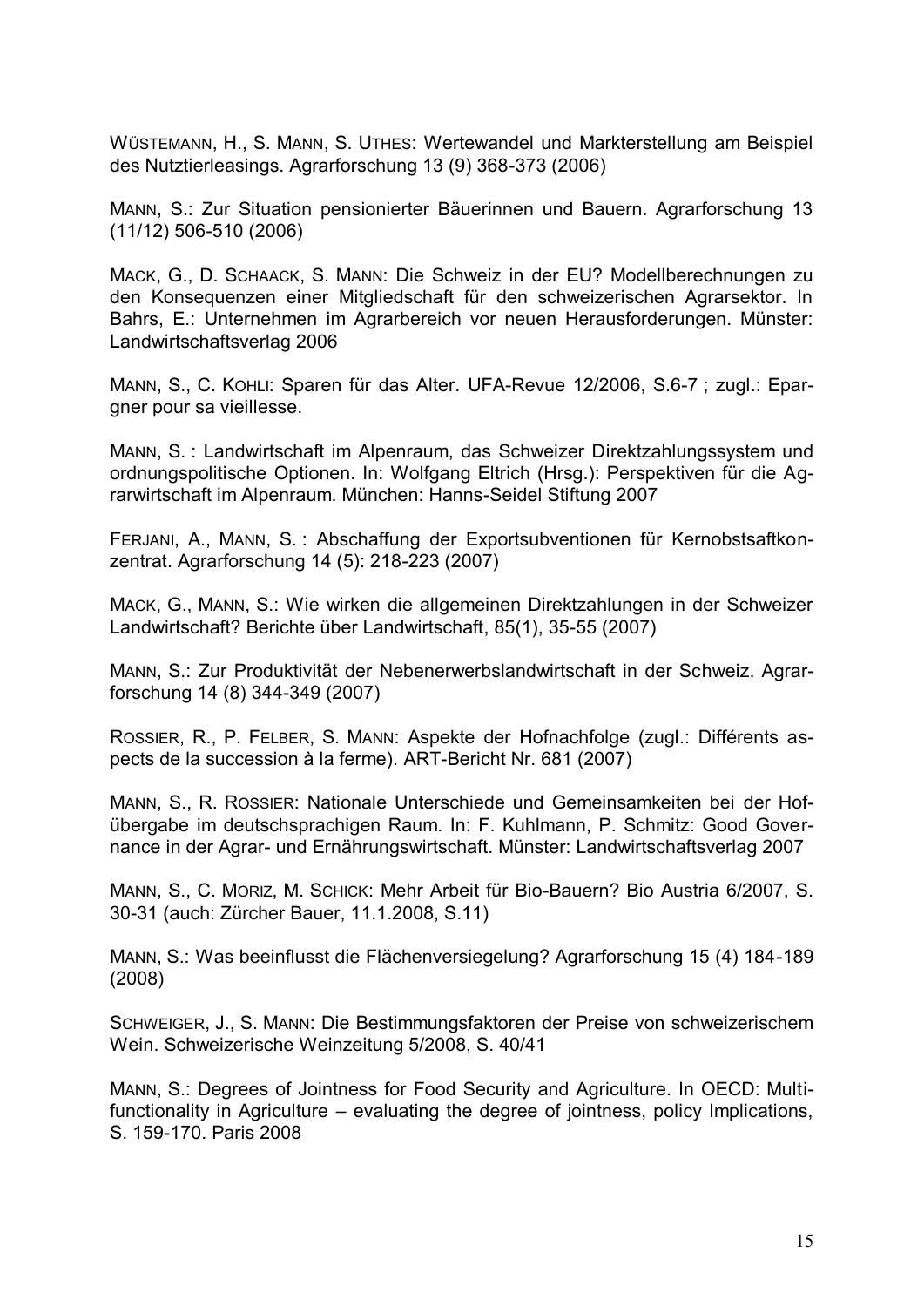WÜSTEMANN, H., S. MANN, S. UTHES: Wertewandel und Markterstellung am Beispiel des Nutztierleasings. Agrarforschung 13 (9) 368-373 (2006)

MANN, S.: Zur Situation pensionierter Bäuerinnen und Bauern. Agrarforschung 13 (11/12) 506-510 (2006)

MACK, G., D. SCHAACK, S. MANN: Die Schweiz in der EU? Modellberechnungen zu den Konsequenzen einer Mitgliedschaft für den schweizerischen Agrarsektor. In Bahrs, E.: Unternehmen im Agrarbereich vor neuen Herausforderungen. Münster: Landwirtschaftsverlag 2006

MANN, S., C. KOHLI: Sparen für das Alter. UFA-Revue 12/2006, S.6-7 ; zugl.: Epargner pour sa vieillesse.

MANN, S. : Landwirtschaft im Alpenraum, das Schweizer Direktzahlungssystem und ordnungspolitische Optionen. In: Wolfgang Eltrich (Hrsg.): Perspektiven für die Agrarwirtschaft im Alpenraum. München: Hanns-Seidel Stiftung 2007

FERJANI, A., MANN, S. : Abschaffung der Exportsubventionen für Kernobstsaftkonzentrat. Agrarforschung 14 (5): 218-223 (2007)

MACK, G., MANN, S.: Wie wirken die allgemeinen Direktzahlungen in der Schweizer Landwirtschaft? Berichte über Landwirtschaft, 85(1), 35-55 (2007)

MANN, S.: Zur Produktivität der Nebenerwerbslandwirtschaft in der Schweiz. Agrarforschung 14 (8) 344-349 (2007)

ROSSIER, R., P. FELBER, S. MANN: Aspekte der Hofnachfolge (zugl.: Différents aspects de la succession à la ferme). ART-Bericht Nr. 681 (2007)

MANN, S., R. ROSSIER: Nationale Unterschiede und Gemeinsamkeiten bei der Hofübergabe im deutschsprachigen Raum. In: F. Kuhlmann, P. Schmitz: Good Governance in der Agrar- und Ernährungswirtschaft. Münster: Landwirtschaftsverlag 2007

MANN, S., C. MORIZ, M. SCHICK: Mehr Arbeit für Bio-Bauern? Bio Austria 6/2007, S. 30-31 (auch: Zürcher Bauer, 11.1.2008, S.11)

MANN, S.: Was beeinflusst die Flächenversiegelung? Agrarforschung 15 (4) 184-189 (2008)

SCHWEIGER, J., S. MANN: Die Bestimmungsfaktoren der Preise von schweizerischem Wein. Schweizerische Weinzeitung 5/2008, S. 40/41

MANN, S.: Degrees of Jointness for Food Security and Agriculture. In OECD: Multifunctionality in Agriculture – evaluating the degree of jointness, policy Implications, S. 159-170. Paris 2008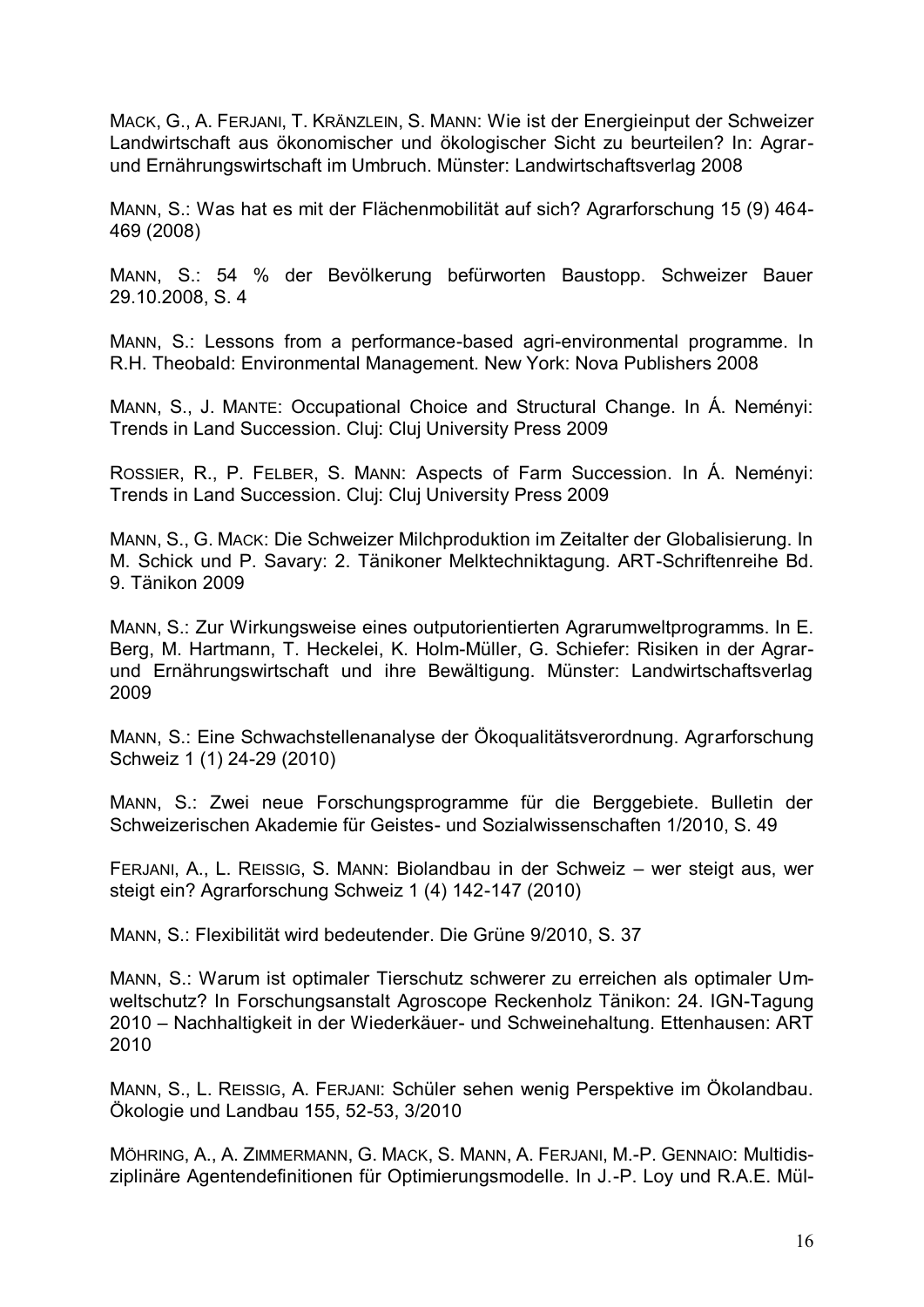MACK, G., A. FERJANI, T. KRÄNZLEIN, S. MANN: Wie ist der Energieinput der Schweizer Landwirtschaft aus ökonomischer und ökologischer Sicht zu beurteilen? In: Agrarund Ernährungswirtschaft im Umbruch. Münster: Landwirtschaftsverlag 2008

MANN, S.: Was hat es mit der Flächenmobilität auf sich? Agrarforschung 15 (9) 464- 469 (2008)

MANN, S.: 54 % der Bevölkerung befürworten Baustopp. Schweizer Bauer 29.10.2008, S. 4

MANN, S.: Lessons from a performance-based agri-environmental programme. In R.H. Theobald: Environmental Management. New York: Nova Publishers 2008

MANN, S., J. MANTE: Occupational Choice and Structural Change. In Á. Neményi: Trends in Land Succession. Cluj: Cluj University Press 2009

ROSSIER, R., P. FELBER, S. MANN: Aspects of Farm Succession. In Á. Neményi: Trends in Land Succession. Cluj: Cluj University Press 2009

MANN, S., G. MACK: Die Schweizer Milchproduktion im Zeitalter der Globalisierung. In M. Schick und P. Savary: 2. Tänikoner Melktechniktagung. ART-Schriftenreihe Bd. 9. Tänikon 2009

MANN, S.: Zur Wirkungsweise eines outputorientierten Agrarumweltprogramms. In E. Berg, M. Hartmann, T. Heckelei, K. Holm-Müller, G. Schiefer: Risiken in der Agrarund Ernährungswirtschaft und ihre Bewältigung. Münster: Landwirtschaftsverlag 2009

MANN, S.: Eine Schwachstellenanalyse der Ökoqualitätsverordnung. Agrarforschung Schweiz 1 (1) 24-29 (2010)

MANN, S.: Zwei neue Forschungsprogramme für die Berggebiete. Bulletin der Schweizerischen Akademie für Geistes- und Sozialwissenschaften 1/2010, S. 49

FERJANI, A., L. REISSIG, S. MANN: Biolandbau in der Schweiz – wer steigt aus, wer steigt ein? Agrarforschung Schweiz 1 (4) 142-147 (2010)

MANN, S.: Flexibilität wird bedeutender. Die Grüne 9/2010, S. 37

MANN, S.: Warum ist optimaler Tierschutz schwerer zu erreichen als optimaler Umweltschutz? In Forschungsanstalt Agroscope Reckenholz Tänikon: 24. IGN-Tagung 2010 – Nachhaltigkeit in der Wiederkäuer- und Schweinehaltung. Ettenhausen: ART 2010

MANN, S., L. REISSIG, A. FERJANI: Schüler sehen wenig Perspektive im Ökolandbau. Ökologie und Landbau 155, 52-53, 3/2010

MÖHRING, A., A. ZIMMERMANN, G. MACK, S. MANN, A. FERJANI, M.-P. GENNAIO: Multidisziplinäre Agentendefinitionen für Optimierungsmodelle. In J.-P. Loy und R.A.E. Mül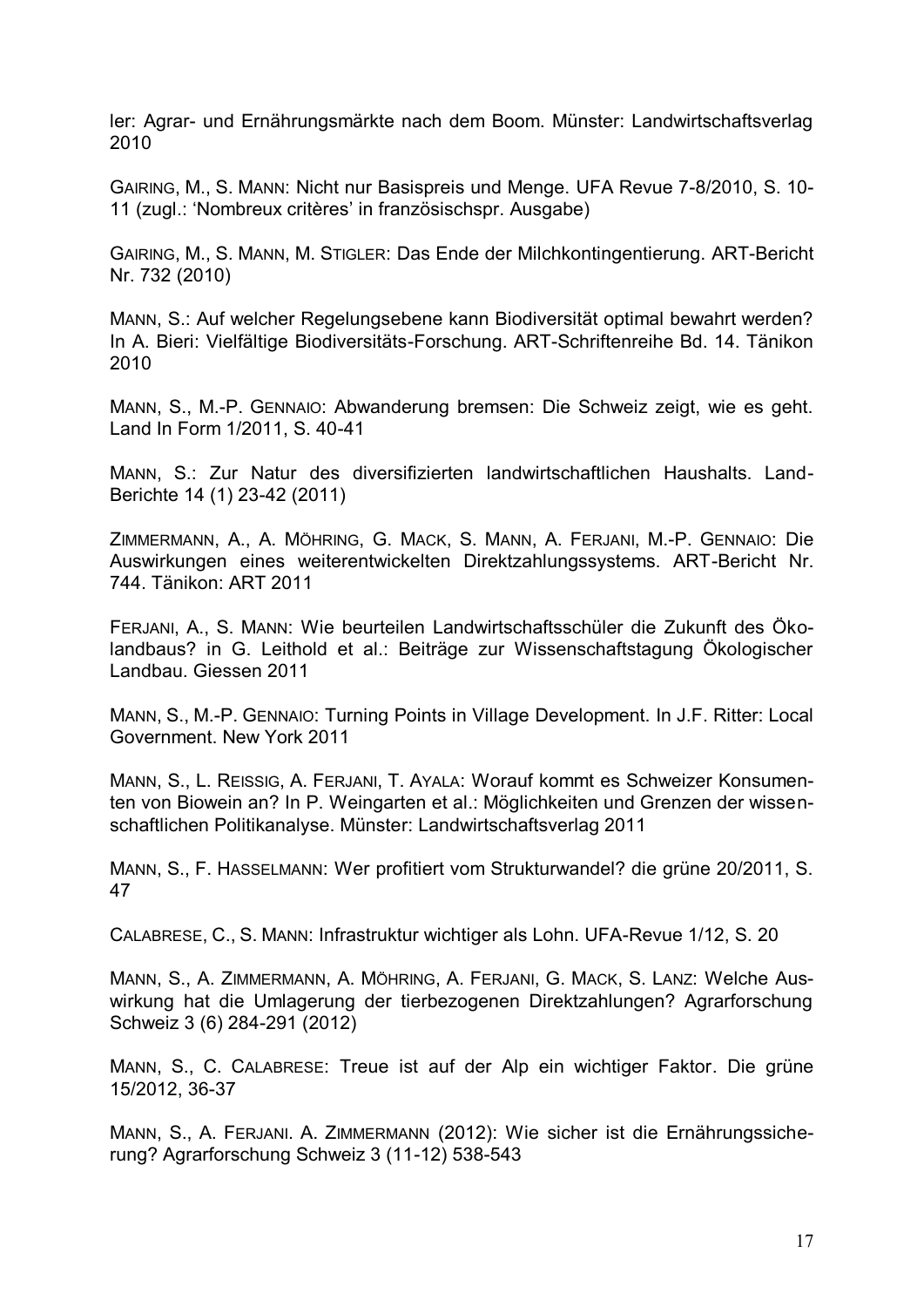ler: Agrar- und Ernährungsmärkte nach dem Boom. Münster: Landwirtschaftsverlag 2010

GAIRING, M., S. MANN: Nicht nur Basispreis und Menge. UFA Revue 7-8/2010, S. 10- 11 (zugl.: 'Nombreux critères' in französischspr. Ausgabe)

GAIRING, M., S. MANN, M. STIGLER: Das Ende der Milchkontingentierung. ART-Bericht Nr. 732 (2010)

MANN, S.: Auf welcher Regelungsebene kann Biodiversität optimal bewahrt werden? In A. Bieri: Vielfältige Biodiversitäts-Forschung. ART-Schriftenreihe Bd. 14. Tänikon 2010

MANN, S., M.-P. GENNAIO: Abwanderung bremsen: Die Schweiz zeigt, wie es geht. Land In Form 1/2011, S. 40-41

MANN, S.: Zur Natur des diversifizierten landwirtschaftlichen Haushalts. Land-Berichte 14 (1) 23-42 (2011)

ZIMMERMANN, A., A. MÖHRING, G. MACK, S. MANN, A. FERJANI, M.-P. GENNAIO: Die Auswirkungen eines weiterentwickelten Direktzahlungssystems. ART-Bericht Nr. 744. Tänikon: ART 2011

FERJANI, A., S. MANN: Wie beurteilen Landwirtschaftsschüler die Zukunft des Ökolandbaus? in G. Leithold et al.: Beiträge zur Wissenschaftstagung Ökologischer Landbau. Giessen 2011

MANN, S., M.-P. GENNAIO: Turning Points in Village Development. In J.F. Ritter: Local Government. New York 2011

MANN, S., L. REISSIG, A. FERJANI, T. AYALA: Worauf kommt es Schweizer Konsumenten von Biowein an? In P. Weingarten et al.: Möglichkeiten und Grenzen der wissenschaftlichen Politikanalyse. Münster: Landwirtschaftsverlag 2011

MANN, S., F. HASSELMANN: Wer profitiert vom Strukturwandel? die grüne 20/2011, S. 47

CALABRESE, C., S. MANN: Infrastruktur wichtiger als Lohn. UFA-Revue 1/12, S. 20

MANN, S., A. ZIMMERMANN, A. MÖHRING, A. FERJANI, G. MACK, S. LANZ: Welche Auswirkung hat die Umlagerung der tierbezogenen Direktzahlungen? Agrarforschung Schweiz 3 (6) 284-291 (2012)

MANN, S., C. CALABRESE: Treue ist auf der Alp ein wichtiger Faktor. Die grüne 15/2012, 36-37

MANN, S., A. FERJANI. A. ZIMMERMANN (2012): Wie sicher ist die Ernährungssicherung? Agrarforschung Schweiz 3 (11-12) 538-543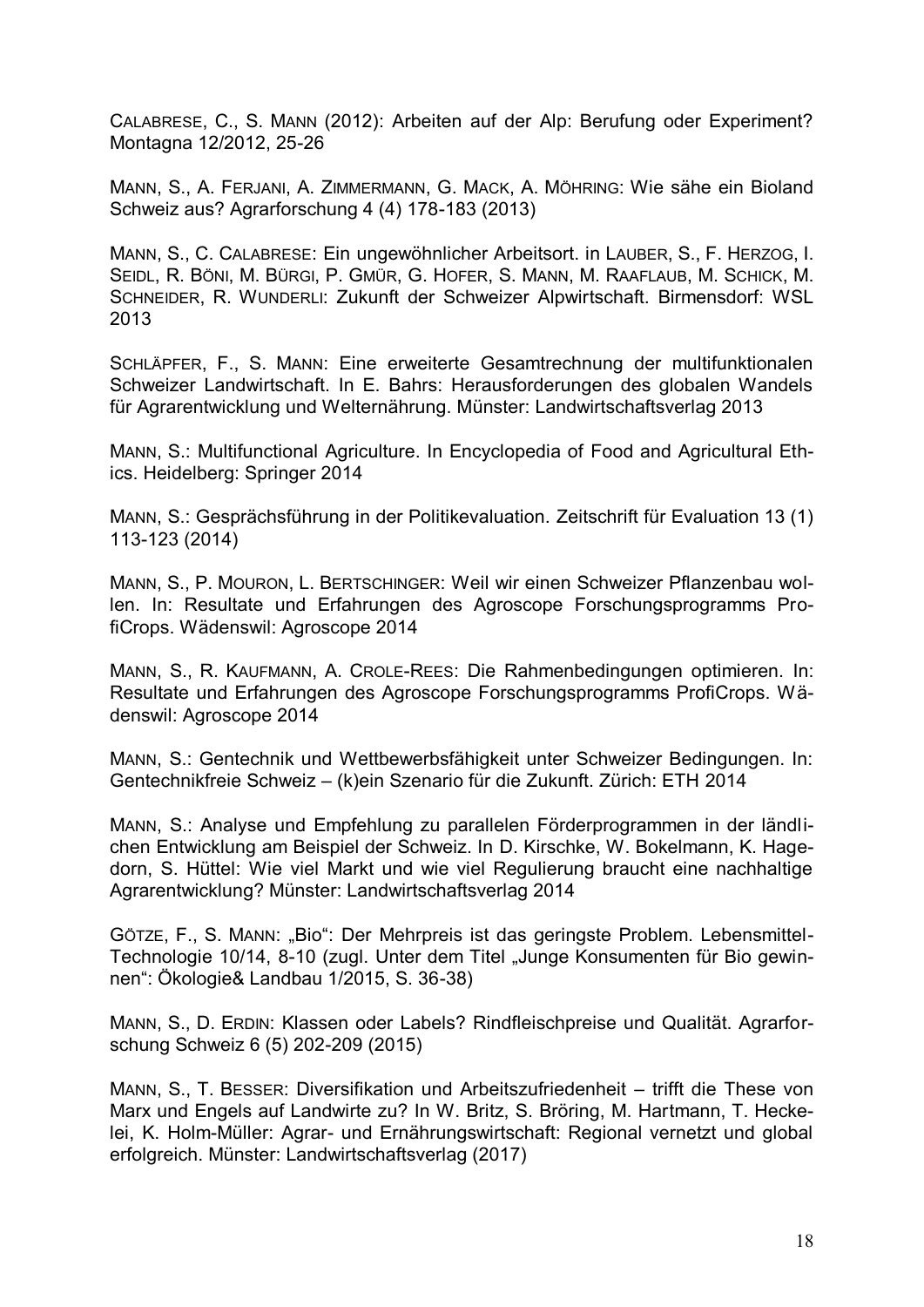CALABRESE, C., S. MANN (2012): Arbeiten auf der Alp: Berufung oder Experiment? Montagna 12/2012, 25-26

MANN, S., A. FERJANI, A. ZIMMERMANN, G. MACK, A. MÖHRING: Wie sähe ein Bioland Schweiz aus? Agrarforschung 4 (4) 178-183 (2013)

MANN, S., C. CALABRESE: Ein ungewöhnlicher Arbeitsort. in LAUBER, S., F. HERZOG, I. SEIDL, R. BÖNI, M. BÜRGI, P. GMÜR, G. HOFER, S. MANN, M. RAAFLAUB, M. SCHICK, M. SCHNEIDER, R. WUNDERLI: Zukunft der Schweizer Alpwirtschaft. Birmensdorf: WSL 2013

SCHLÄPFER, F., S. MANN: Eine erweiterte Gesamtrechnung der multifunktionalen Schweizer Landwirtschaft. In E. Bahrs: Herausforderungen des globalen Wandels für Agrarentwicklung und Welternährung. Münster: Landwirtschaftsverlag 2013

MANN, S.: Multifunctional Agriculture. In Encyclopedia of Food and Agricultural Ethics. Heidelberg: Springer 2014

MANN, S.: Gesprächsführung in der Politikevaluation. Zeitschrift für Evaluation 13 (1) 113-123 (2014)

MANN, S., P. MOURON, L. BERTSCHINGER: Weil wir einen Schweizer Pflanzenbau wollen. In: Resultate und Erfahrungen des Agroscope Forschungsprogramms ProfiCrops. Wädenswil: Agroscope 2014

MANN, S., R. KAUFMANN, A. CROLE-REES: Die Rahmenbedingungen optimieren. In: Resultate und Erfahrungen des Agroscope Forschungsprogramms ProfiCrops. Wädenswil: Agroscope 2014

MANN, S.: Gentechnik und Wettbewerbsfähigkeit unter Schweizer Bedingungen. In: Gentechnikfreie Schweiz – (k)ein Szenario für die Zukunft. Zürich: ETH 2014

MANN, S.: Analyse und Empfehlung zu parallelen Förderprogrammen in der ländlichen Entwicklung am Beispiel der Schweiz. In D. Kirschke, W. Bokelmann, K. Hagedorn, S. Hüttel: Wie viel Markt und wie viel Regulierung braucht eine nachhaltige Agrarentwicklung? Münster: Landwirtschaftsverlag 2014

GÖTZE, F., S. MANN: "Bio": Der Mehrpreis ist das geringste Problem. Lebensmittel-Technologie 10/14, 8-10 (zugl. Unter dem Titel "Junge Konsumenten für Bio gewinnen": Ökologie& Landbau 1/2015, S. 36-38)

MANN, S., D. ERDIN: Klassen oder Labels? Rindfleischpreise und Qualität. Agrarforschung Schweiz 6 (5) 202-209 (2015)

MANN, S., T. BESSER: Diversifikation und Arbeitszufriedenheit – trifft die These von Marx und Engels auf Landwirte zu? In W. Britz, S. Bröring, M. Hartmann, T. Heckelei, K. Holm-Müller: Agrar- und Ernährungswirtschaft: Regional vernetzt und global erfolgreich. Münster: Landwirtschaftsverlag (2017)